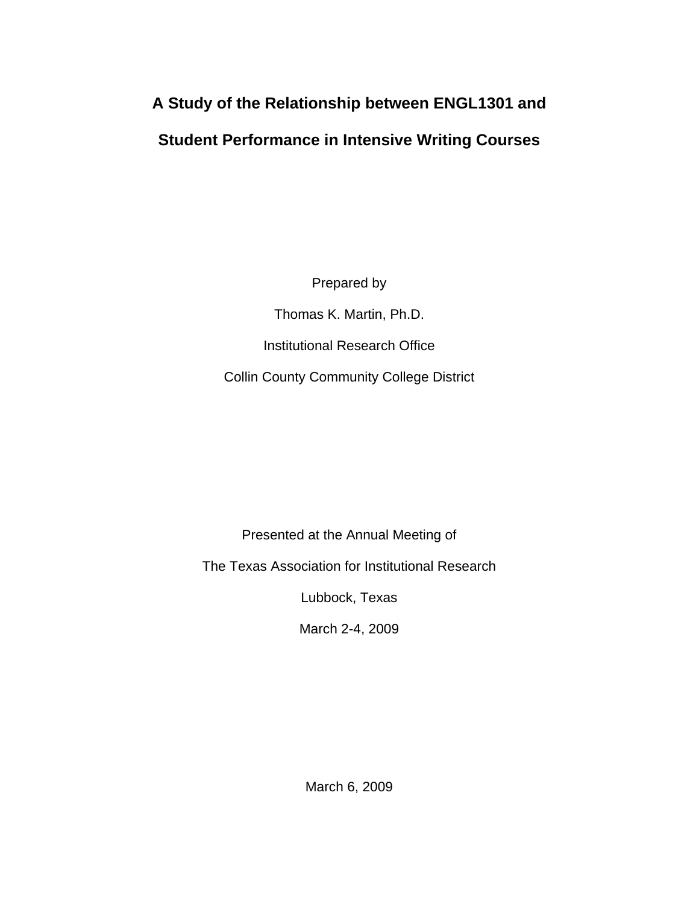# **A Study of the Relationship between ENGL1301 and**

# **Student Performance in Intensive Writing Courses**

Prepared by

Thomas K. Martin, Ph.D. Institutional Research Office Collin County Community College District

Presented at the Annual Meeting of

The Texas Association for Institutional Research

Lubbock, Texas

March 2-4, 2009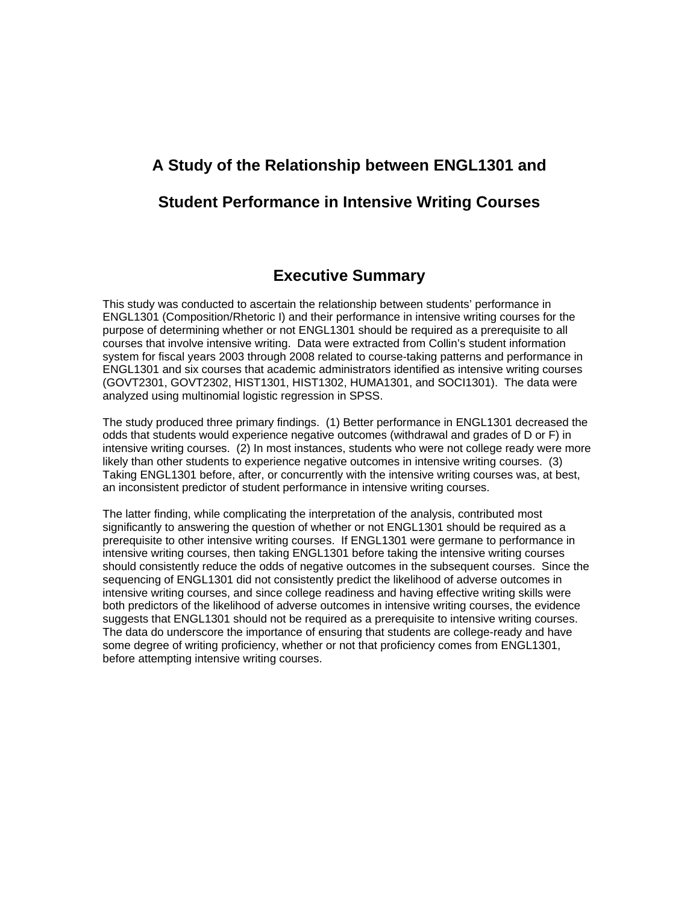# **A Study of the Relationship between ENGL1301 and**

# **Student Performance in Intensive Writing Courses**

# **Executive Summary**

This study was conducted to ascertain the relationship between students' performance in ENGL1301 (Composition/Rhetoric I) and their performance in intensive writing courses for the purpose of determining whether or not ENGL1301 should be required as a prerequisite to all courses that involve intensive writing. Data were extracted from Collin's student information system for fiscal years 2003 through 2008 related to course-taking patterns and performance in ENGL1301 and six courses that academic administrators identified as intensive writing courses (GOVT2301, GOVT2302, HIST1301, HIST1302, HUMA1301, and SOCI1301). The data were analyzed using multinomial logistic regression in SPSS.

The study produced three primary findings. (1) Better performance in ENGL1301 decreased the odds that students would experience negative outcomes (withdrawal and grades of D or F) in intensive writing courses. (2) In most instances, students who were not college ready were more likely than other students to experience negative outcomes in intensive writing courses. (3) Taking ENGL1301 before, after, or concurrently with the intensive writing courses was, at best, an inconsistent predictor of student performance in intensive writing courses.

The latter finding, while complicating the interpretation of the analysis, contributed most significantly to answering the question of whether or not ENGL1301 should be required as a prerequisite to other intensive writing courses. If ENGL1301 were germane to performance in intensive writing courses, then taking ENGL1301 before taking the intensive writing courses should consistently reduce the odds of negative outcomes in the subsequent courses. Since the sequencing of ENGL1301 did not consistently predict the likelihood of adverse outcomes in intensive writing courses, and since college readiness and having effective writing skills were both predictors of the likelihood of adverse outcomes in intensive writing courses, the evidence suggests that ENGL1301 should not be required as a prerequisite to intensive writing courses. The data do underscore the importance of ensuring that students are college-ready and have some degree of writing proficiency, whether or not that proficiency comes from ENGL1301, before attempting intensive writing courses.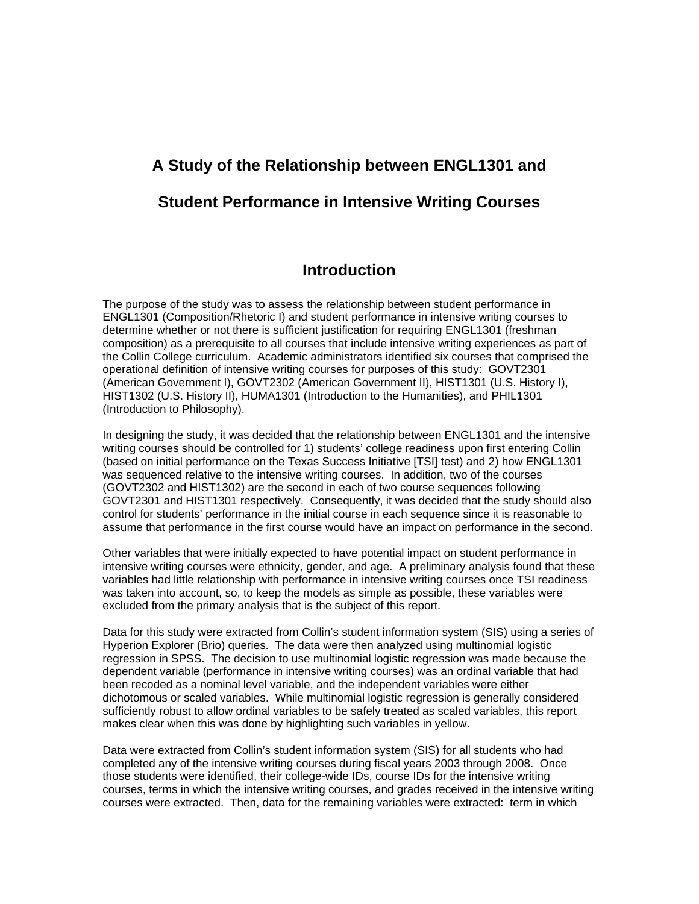# **A Study of the Relationship between ENGL1301 and Student Performance in Intensive Writing Courses**

# **Introduction**

The purpose of the study was to assess the relationship between student performance in ENGL1301 (Composition/Rhetoric I) and student performance in intensive writing courses to determine whether or not there is sufficient justification for requiring ENGL1301 (freshman composition) as a prerequisite to all courses that include intensive writing experiences as part of the Collin College curriculum. Academic administrators identified six courses that comprised the operational definition of intensive writing courses for purposes of this study: GOVT2301 (American Government I), GOVT2302 (American Government II), HIST1301 (U.S. History I), HIST1302 (U.S. History II), HUMA1301 (Introduction to the Humanities), and PHIL1301 (Introduction to Philosophy).

In designing the study, it was decided that the relationship between ENGL1301 and the intensive writing courses should be controlled for 1) students' college readiness upon first entering Collin (based on initial performance on the Texas Success Initiative [TSI] test) and 2) how ENGL1301 was sequenced relative to the intensive writing courses. In addition, two of the courses (GOVT2302 and HIST1302) are the second in each of two course sequences following GOVT2301 and HIST1301 respectively. Consequently, it was decided that the study should also control for students' performance in the initial course in each sequence since it is reasonable to assume that performance in the first course would have an impact on performance in the second.

Other variables that were initially expected to have potential impact on student performance in intensive writing courses were ethnicity, gender, and age. A preliminary analysis found that these variables had little relationship with performance in intensive writing courses once TSI readiness was taken into account, so, to keep the models as simple as possible, these variables were excluded from the primary analysis that is the subject of this report.

Data for this study were extracted from Collin's student information system (SIS) using a series of Hyperion Explorer (Brio) queries. The data were then analyzed using multinomial logistic regression in SPSS. The decision to use multinomial logistic regression was made because the dependent variable (performance in intensive writing courses) was an ordinal variable that had been recoded as a nominal level variable, and the independent variables were either dichotomous or scaled variables. While multinomial logistic regression is generally considered sufficiently robust to allow ordinal variables to be safely treated as scaled variables, this report makes clear when this was done by highlighting such variables in yellow.

Data were extracted from Collin's student information system (SIS) for all students who had completed any of the intensive writing courses during fiscal years 2003 through 2008. Once those students were identified, their college-wide IDs, course IDs for the intensive writing courses, terms in which the intensive writing courses, and grades received in the intensive writing courses were extracted. Then, data for the remaining variables were extracted: term in which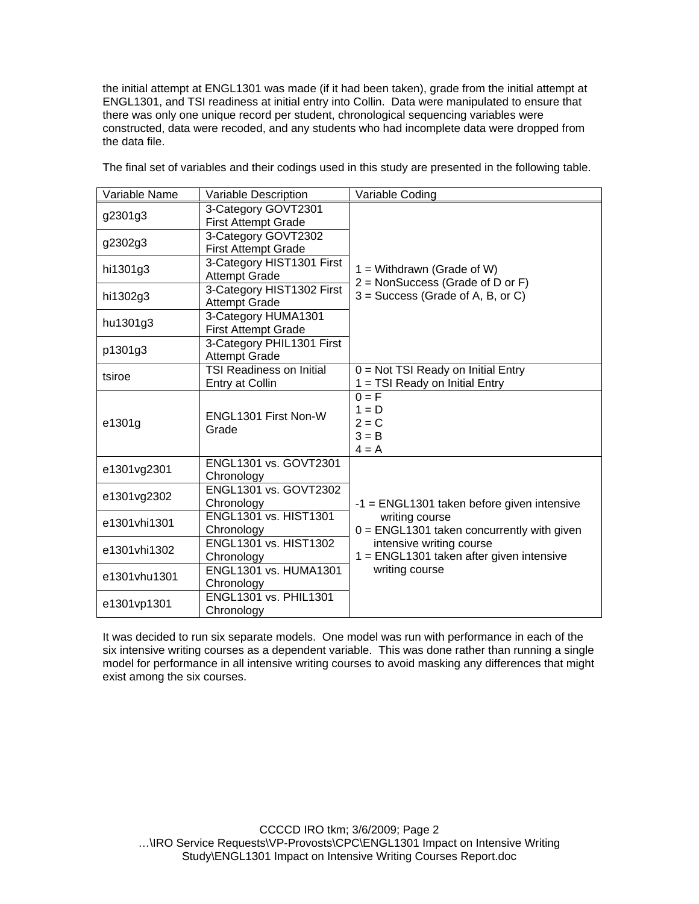the initial attempt at ENGL1301 was made (if it had been taken), grade from the initial attempt at ENGL1301, and TSI readiness at initial entry into Collin. Data were manipulated to ensure that there was only one unique record per student, chronological sequencing variables were constructed, data were recoded, and any students who had incomplete data were dropped from the data file.

| Variable Name | Variable Description                               | Variable Coding                                                          |  |  |
|---------------|----------------------------------------------------|--------------------------------------------------------------------------|--|--|
| g2301g3       | 3-Category GOVT2301<br><b>First Attempt Grade</b>  |                                                                          |  |  |
| g2302g3       | 3-Category GOVT2302<br><b>First Attempt Grade</b>  |                                                                          |  |  |
| hi1301g3      | 3-Category HIST1301 First<br><b>Attempt Grade</b>  | $1 =$ Withdrawn (Grade of W)<br>$2 =$ NonSuccess (Grade of D or F)       |  |  |
| hi1302g3      | 3-Category HIST1302 First<br><b>Attempt Grade</b>  | $3 =$ Success (Grade of A, B, or C)                                      |  |  |
| hu1301g3      | 3-Category HUMA1301<br><b>First Attempt Grade</b>  |                                                                          |  |  |
| p1301g3       | 3-Category PHIL1301 First<br><b>Attempt Grade</b>  |                                                                          |  |  |
| tsiroe        | <b>TSI Readiness on Initial</b><br>Entry at Collin | $0 = Not TSI$ Ready on Initial Entry<br>$1 = TSI$ Ready on Initial Entry |  |  |
| e1301g        | ENGL1301 First Non-W<br>Grade                      | $0 = F$<br>$1 = D$<br>$2 = C$<br>$3 = B$<br>$4 = A$                      |  |  |
| e1301vg2301   | ENGL1301 vs. GOVT2301<br>Chronology                |                                                                          |  |  |
| e1301vg2302   | <b>ENGL1301 vs. GOVT2302</b><br>Chronology         | $-1$ = ENGL1301 taken before given intensive                             |  |  |
| e1301vhi1301  | <b>ENGL1301 vs. HIST1301</b><br>Chronology         | writing course<br>$0 = ENGL1301$ taken concurrently with given           |  |  |
| e1301vhi1302  | ENGL1301 vs. HIST1302<br>Chronology                | intensive writing course<br>1 = ENGL1301 taken after given intensive     |  |  |
| e1301vhu1301  | ENGL1301 vs. HUMA1301<br>Chronology                | writing course                                                           |  |  |
| e1301vp1301   | <b>ENGL1301 vs. PHIL1301</b><br>Chronology         |                                                                          |  |  |

The final set of variables and their codings used in this study are presented in the following table.

It was decided to run six separate models. One model was run with performance in each of the six intensive writing courses as a dependent variable. This was done rather than running a single model for performance in all intensive writing courses to avoid masking any differences that might exist among the six courses.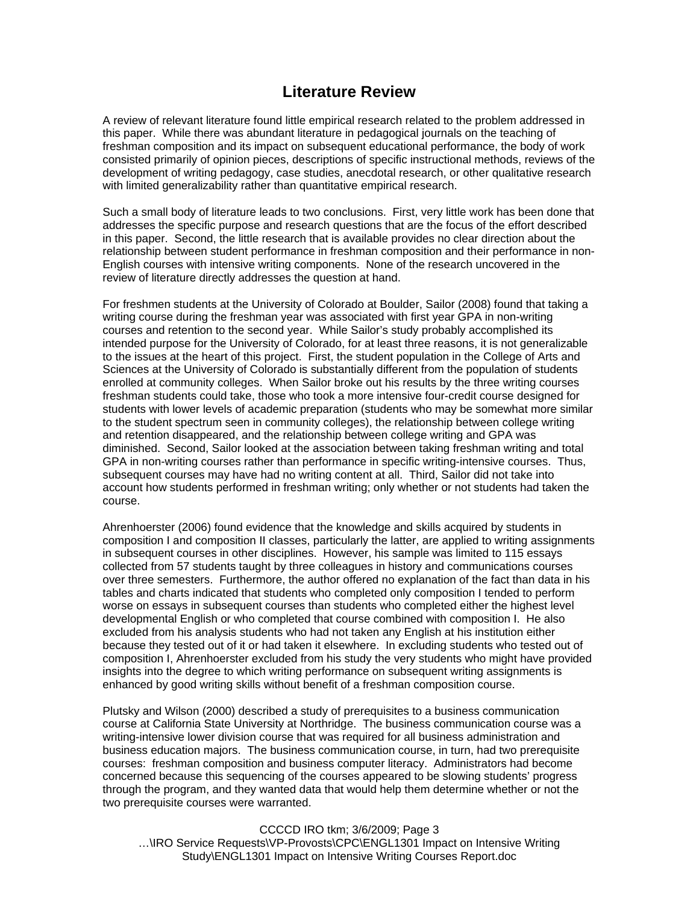# **Literature Review**

A review of relevant literature found little empirical research related to the problem addressed in this paper. While there was abundant literature in pedagogical journals on the teaching of freshman composition and its impact on subsequent educational performance, the body of work consisted primarily of opinion pieces, descriptions of specific instructional methods, reviews of the development of writing pedagogy, case studies, anecdotal research, or other qualitative research with limited generalizability rather than quantitative empirical research.

Such a small body of literature leads to two conclusions. First, very little work has been done that addresses the specific purpose and research questions that are the focus of the effort described in this paper. Second, the little research that is available provides no clear direction about the relationship between student performance in freshman composition and their performance in non-English courses with intensive writing components. None of the research uncovered in the review of literature directly addresses the question at hand.

For freshmen students at the University of Colorado at Boulder, Sailor (2008) found that taking a writing course during the freshman year was associated with first year GPA in non-writing courses and retention to the second year. While Sailor's study probably accomplished its intended purpose for the University of Colorado, for at least three reasons, it is not generalizable to the issues at the heart of this project. First, the student population in the College of Arts and Sciences at the University of Colorado is substantially different from the population of students enrolled at community colleges. When Sailor broke out his results by the three writing courses freshman students could take, those who took a more intensive four-credit course designed for students with lower levels of academic preparation (students who may be somewhat more similar to the student spectrum seen in community colleges), the relationship between college writing and retention disappeared, and the relationship between college writing and GPA was diminished. Second, Sailor looked at the association between taking freshman writing and total GPA in non-writing courses rather than performance in specific writing-intensive courses. Thus, subsequent courses may have had no writing content at all. Third, Sailor did not take into account how students performed in freshman writing; only whether or not students had taken the course.

Ahrenhoerster (2006) found evidence that the knowledge and skills acquired by students in composition I and composition II classes, particularly the latter, are applied to writing assignments in subsequent courses in other disciplines. However, his sample was limited to 115 essays collected from 57 students taught by three colleagues in history and communications courses over three semesters. Furthermore, the author offered no explanation of the fact than data in his tables and charts indicated that students who completed only composition I tended to perform worse on essays in subsequent courses than students who completed either the highest level developmental English or who completed that course combined with composition I. He also excluded from his analysis students who had not taken any English at his institution either because they tested out of it or had taken it elsewhere. In excluding students who tested out of composition I, Ahrenhoerster excluded from his study the very students who might have provided insights into the degree to which writing performance on subsequent writing assignments is enhanced by good writing skills without benefit of a freshman composition course.

Plutsky and Wilson (2000) described a study of prerequisites to a business communication course at California State University at Northridge. The business communication course was a writing-intensive lower division course that was required for all business administration and business education majors. The business communication course, in turn, had two prerequisite courses: freshman composition and business computer literacy. Administrators had become concerned because this sequencing of the courses appeared to be slowing students' progress through the program, and they wanted data that would help them determine whether or not the two prerequisite courses were warranted.

CCCCD IRO tkm; 3/6/2009; Page 3 …\IRO Service Requests\VP-Provosts\CPC\ENGL1301 Impact on Intensive Writing Study\ENGL1301 Impact on Intensive Writing Courses Report.doc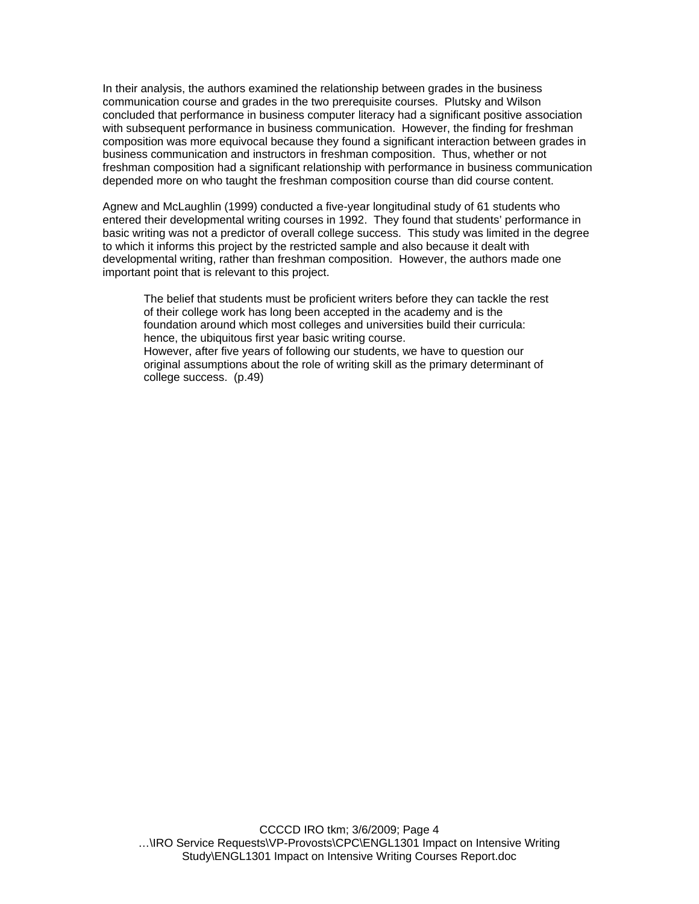In their analysis, the authors examined the relationship between grades in the business communication course and grades in the two prerequisite courses. Plutsky and Wilson concluded that performance in business computer literacy had a significant positive association with subsequent performance in business communication. However, the finding for freshman composition was more equivocal because they found a significant interaction between grades in business communication and instructors in freshman composition. Thus, whether or not freshman composition had a significant relationship with performance in business communication depended more on who taught the freshman composition course than did course content.

Agnew and McLaughlin (1999) conducted a five-year longitudinal study of 61 students who entered their developmental writing courses in 1992. They found that students' performance in basic writing was not a predictor of overall college success. This study was limited in the degree to which it informs this project by the restricted sample and also because it dealt with developmental writing, rather than freshman composition. However, the authors made one important point that is relevant to this project.

The belief that students must be proficient writers before they can tackle the rest of their college work has long been accepted in the academy and is the foundation around which most colleges and universities build their curricula: hence, the ubiquitous first year basic writing course. However, after five years of following our students, we have to question our original assumptions about the role of writing skill as the primary determinant of college success. (p.49)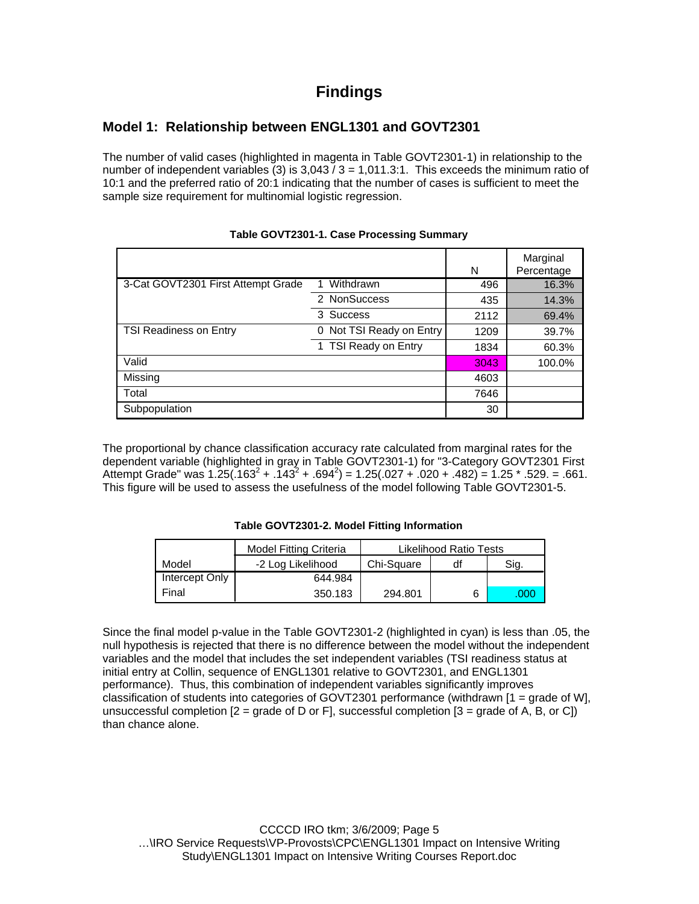# **Findings**

# **Model 1: Relationship between ENGL1301 and GOVT2301**

The number of valid cases (highlighted in magenta in Table GOVT2301-1) in relationship to the number of independent variables (3) is  $3,043 / 3 = 1,011.3:1$ . This exceeds the minimum ratio of 10:1 and the preferred ratio of 20:1 indicating that the number of cases is sufficient to meet the sample size requirement for multinomial logistic regression.

|                                    |                          | N    | Marginal<br>Percentage |
|------------------------------------|--------------------------|------|------------------------|
| 3-Cat GOVT2301 First Attempt Grade | Withdrawn                | 496  | 16.3%                  |
|                                    | 2 NonSuccess             | 435  | 14.3%                  |
|                                    | 3 Success                | 2112 | 69.4%                  |
| <b>TSI Readiness on Entry</b>      | 0 Not TSI Ready on Entry | 1209 | 39.7%                  |
|                                    | 1 TSI Ready on Entry     | 1834 | 60.3%                  |
| Valid                              |                          | 3043 | 100.0%                 |
| Missing                            |                          | 4603 |                        |
| Total                              |                          | 7646 |                        |
| Subpopulation                      |                          | 30   |                        |

#### **Table GOVT2301-1. Case Processing Summary**

The proportional by chance classification accuracy rate calculated from marginal rates for the dependent variable (highlighted in gray in Table GOVT2301-1) for "3-Category GOVT2301 First Attempt Grade" was  $1.25(.163^2+.143^2+.694^2) = 1.25(.027+.020+.482) = 1.25*.529. = .661.$ This figure will be used to assess the usefulness of the model following Table GOVT2301-5.

#### **Table GOVT2301-2. Model Fitting Information**

|                | <b>Model Fitting Criteria</b> | Likelihood Ratio Tests |    |      |
|----------------|-------------------------------|------------------------|----|------|
| Model          | -2 Log Likelihood             | Chi-Square             | df | Sig. |
| Intercept Only | 644.984                       |                        |    |      |
| Final          | 350.183                       | 294.801                |    | .000 |

Since the final model p-value in the Table GOVT2301-2 (highlighted in cyan) is less than .05, the null hypothesis is rejected that there is no difference between the model without the independent variables and the model that includes the set independent variables (TSI readiness status at initial entry at Collin, sequence of ENGL1301 relative to GOVT2301, and ENGL1301 performance). Thus, this combination of independent variables significantly improves classification of students into categories of GOVT2301 performance (withdrawn [1 = grade of W], unsuccessful completion  $[2 = \text{grade of } D \text{ or } F]$ , successful completion  $[3 = \text{grade of } A, B, \text{ or } C]$ than chance alone.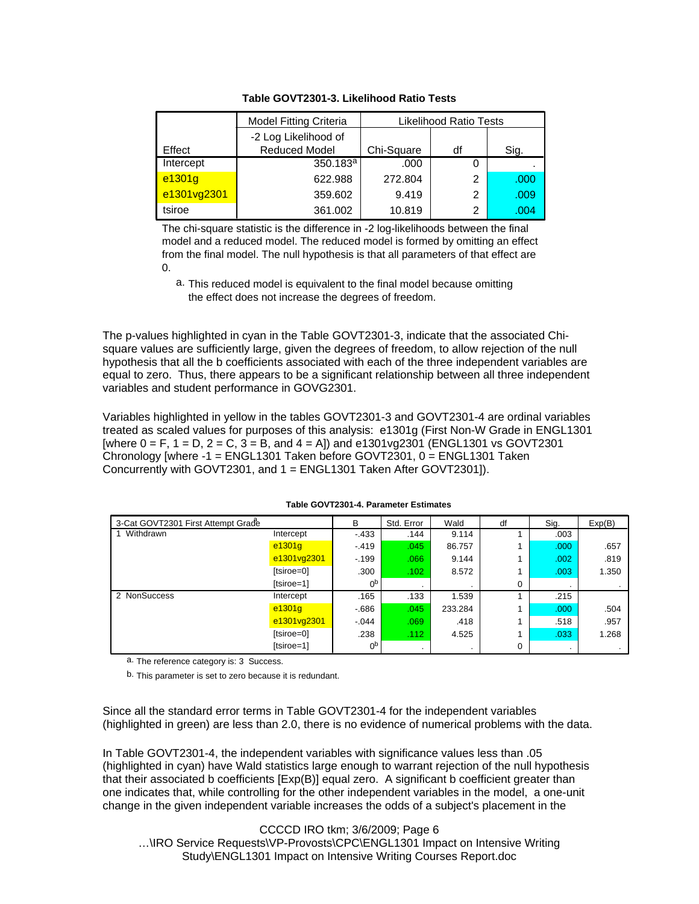|             | <b>Model Fitting Criteria</b> | Likelihood Ratio Tests |    |      |
|-------------|-------------------------------|------------------------|----|------|
|             | -2 Log Likelihood of          |                        |    |      |
| Effect      | <b>Reduced Model</b>          | Chi-Square             | df | Sig. |
| Intercept   | 350.183 <sup>a</sup>          | .000                   | 0  |      |
| e1301g      | 622.988                       | 272.804                | 2  | .000 |
| e1301vg2301 | 359.602                       | 9.419                  | 2  | .009 |
| tsiroe      | 361.002                       | 10.819                 | 2  | .004 |

**Table GOVT2301-3. Likelihood Ratio Tests**

The chi-square statistic is the difference in -2 log-likelihoods between the final model and a reduced model. The reduced model is formed by omitting an effect from the final model. The null hypothesis is that all parameters of that effect are  $\Omega$ 

a. This reduced model is equivalent to the final model because omitting the effect does not increase the degrees of freedom.

The p-values highlighted in cyan in the Table GOVT2301-3, indicate that the associated Chisquare values are sufficiently large, given the degrees of freedom, to allow rejection of the null hypothesis that all the b coefficients associated with each of the three independent variables are equal to zero. Thus, there appears to be a significant relationship between all three independent variables and student performance in GOVG2301.

Variables highlighted in yellow in the tables GOVT2301-3 and GOVT2301-4 are ordinal variables treated as scaled values for purposes of this analysis: e1301g (First Non-W Grade in ENGL1301  $[where 0 = F, 1 = D, 2 = C, 3 = B, and 4 = A]$  and  $e^{1301 \sqrt{2301}}$  (ENGL1301 vs GOVT2301) Chronology [where -1 = ENGL1301 Taken before GOVT2301, 0 = ENGL1301 Taken Concurrently with GOVT2301, and 1 = ENGL1301 Taken After GOVT2301]).

| 3-Cat GOVT2301 First Attempt Grade |             | B              | Std. Error | Wald    | df | Sig.      | Exp(B) |
|------------------------------------|-------------|----------------|------------|---------|----|-----------|--------|
| 1 Withdrawn                        | Intercept   | $-433$         | .144       | 9.114   |    | .003      |        |
|                                    | e1301q      | $-419$         | .045       | 86.757  |    | .000      | .657   |
|                                    | e1301vg2301 | $-199$         | .066       | 9.144   |    | .002      | .819   |
|                                    | [tsiroe=0]  | .300           | .102       | 8.572   |    | .003      | 1.350  |
|                                    | [tsiroe=1]  | 0 <sub>p</sub> |            |         | 0  | $\cdot$   |        |
| 2 NonSuccess                       | Intercept   | .165           | .133       | 1.539   |    | .215      |        |
|                                    | e1301q      | $-686$         | .045       | 233.284 |    | .000      | .504   |
|                                    | e1301vg2301 | $-0.044$       | .069       | .418    |    | .518      | .957   |
|                                    | [tsiroe=0]  | .238           | .112       | 4.525   |    | .033      | 1.268  |
|                                    | [tsiroe=1]  | 0 <sub>p</sub> |            |         | 0  | $\bullet$ |        |

#### **Table GOVT2301-4. Parameter Estimates**

a. The reference category is: 3 Success.

b. This parameter is set to zero because it is redundant.

Since all the standard error terms in Table GOVT2301-4 for the independent variables (highlighted in green) are less than 2.0, there is no evidence of numerical problems with the data.

In Table GOVT2301-4, the independent variables with significance values less than .05 (highlighted in cyan) have Wald statistics large enough to warrant rejection of the null hypothesis that their associated b coefficients [Exp(B)] equal zero. A significant b coefficient greater than one indicates that, while controlling for the other independent variables in the model, a one-unit change in the given independent variable increases the odds of a subject's placement in the

CCCCD IRO tkm; 3/6/2009; Page 6 …\IRO Service Requests\VP-Provosts\CPC\ENGL1301 Impact on Intensive Writing Study\ENGL1301 Impact on Intensive Writing Courses Report.doc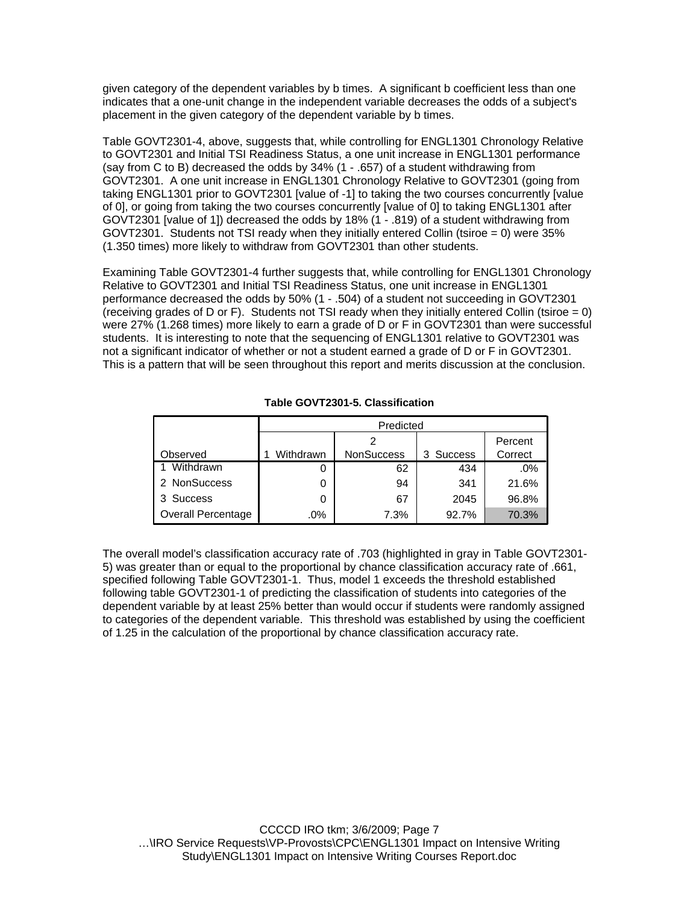given category of the dependent variables by b times. A significant b coefficient less than one indicates that a one-unit change in the independent variable decreases the odds of a subject's placement in the given category of the dependent variable by b times.

Table GOVT2301-4, above, suggests that, while controlling for ENGL1301 Chronology Relative to GOVT2301 and Initial TSI Readiness Status, a one unit increase in ENGL1301 performance (say from C to B) decreased the odds by 34% (1 - .657) of a student withdrawing from GOVT2301. A one unit increase in ENGL1301 Chronology Relative to GOVT2301 (going from taking ENGL1301 prior to GOVT2301 [value of -1] to taking the two courses concurrently [value of 0], or going from taking the two courses concurrently [value of 0] to taking ENGL1301 after GOVT2301 [value of 1]) decreased the odds by 18% (1 - .819) of a student withdrawing from GOVT2301. Students not TSI ready when they initially entered Collin (tsiroe = 0) were 35% (1.350 times) more likely to withdraw from GOVT2301 than other students.

Examining Table GOVT2301-4 further suggests that, while controlling for ENGL1301 Chronology Relative to GOVT2301 and Initial TSI Readiness Status, one unit increase in ENGL1301 performance decreased the odds by 50% (1 - .504) of a student not succeeding in GOVT2301 (receiving grades of D or F). Students not TSI ready when they initially entered Collin (tsiroe  $= 0$ ) were 27% (1.268 times) more likely to earn a grade of D or F in GOVT2301 than were successful students. It is interesting to note that the sequencing of ENGL1301 relative to GOVT2301 was not a significant indicator of whether or not a student earned a grade of D or F in GOVT2301. This is a pattern that will be seen throughout this report and merits discussion at the conclusion.

|                           | Predicted |                   |           |         |  |  |
|---------------------------|-----------|-------------------|-----------|---------|--|--|
|                           |           | Percent           |           |         |  |  |
| Observed                  | Withdrawn | <b>NonSuccess</b> | 3 Success | Correct |  |  |
| Withdrawn                 | O         | 62                | 434       | $.0\%$  |  |  |
| 2 NonSuccess              | 0         | 94                | 341       | 21.6%   |  |  |
| 3 Success                 | 0         | 67                | 2045      | 96.8%   |  |  |
| <b>Overall Percentage</b> | .0%       | 7.3%              | 92.7%     | 70.3%   |  |  |

#### **Table GOVT2301-5. Classification**

The overall model's classification accuracy rate of .703 (highlighted in gray in Table GOVT2301- 5) was greater than or equal to the proportional by chance classification accuracy rate of .661, specified following Table GOVT2301-1. Thus, model 1 exceeds the threshold established following table GOVT2301-1 of predicting the classification of students into categories of the dependent variable by at least 25% better than would occur if students were randomly assigned to categories of the dependent variable. This threshold was established by using the coefficient of 1.25 in the calculation of the proportional by chance classification accuracy rate.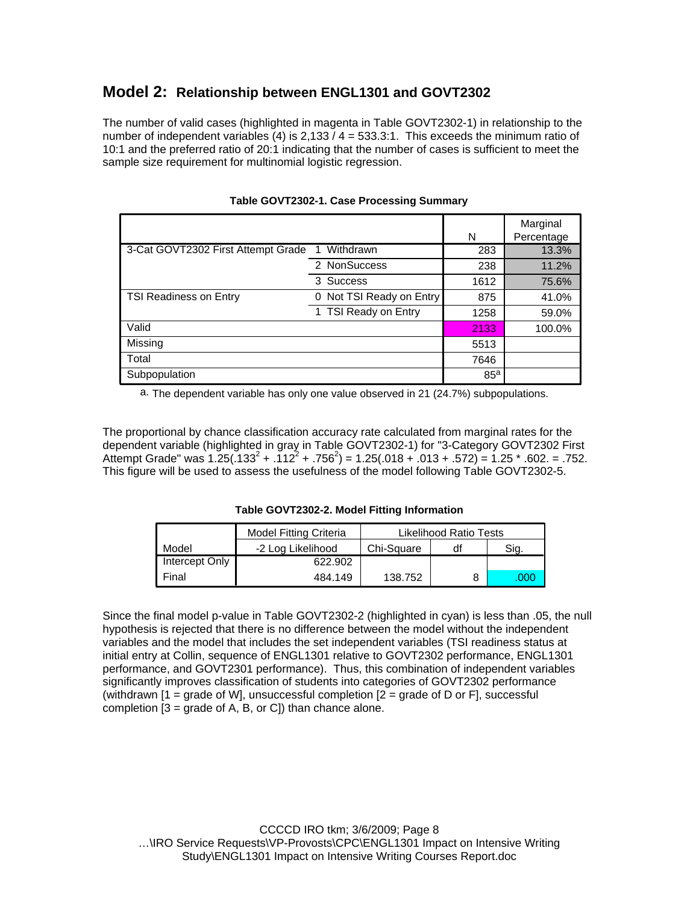# **Model 2: Relationship between ENGL1301 and GOVT2302**

The number of valid cases (highlighted in magenta in Table GOVT2302-1) in relationship to the number of independent variables (4) is  $2,133 / 4 = 533.3:1$ . This exceeds the minimum ratio of 10:1 and the preferred ratio of 20:1 indicating that the number of cases is sufficient to meet the sample size requirement for multinomial logistic regression.

|                                    |                             | N               | Marginal<br>Percentage |
|------------------------------------|-----------------------------|-----------------|------------------------|
| 3-Cat GOVT2302 First Attempt Grade | Withdrawn<br>1              | 283             | 13.3%                  |
|                                    |                             |                 |                        |
|                                    | 2 NonSuccess                | 238             | 11.2%                  |
|                                    | 3 Success                   | 1612            | 75.6%                  |
| TSI Readiness on Entry             | Not TSI Ready on Entry<br>0 | 875             | 41.0%                  |
|                                    | 1 TSI Ready on Entry        | 1258            | 59.0%                  |
| Valid                              |                             | 2133            | 100.0%                 |
| Missing                            |                             | 5513            |                        |
| Total                              |                             | 7646            |                        |
| Subpopulation                      |                             | 85 <sup>a</sup> |                        |

| Table GOVT2302-1. Case Processing Summary |  |
|-------------------------------------------|--|
|                                           |  |

a. The dependent variable has only one value observed in 21 (24.7%) subpopulations.

The proportional by chance classification accuracy rate calculated from marginal rates for the dependent variable (highlighted in gray in Table GOVT2302-1) for "3-Category GOVT2302 First Attempt Grade" was  $1.25(.133^2+.112^2+.756^2) = 1.25(.018+.013+.572) = 1.25*.602. = .752.$ This figure will be used to assess the usefulness of the model following Table GOVT2302-5.

**Table GOVT2302-2. Model Fitting Information**

|                | <b>Model Fitting Criteria</b> | Likelihood Ratio Tests |    |      |
|----------------|-------------------------------|------------------------|----|------|
| Model          | -2 Log Likelihood             | Chi-Square             | df | Sig. |
| Intercept Only | 622.902                       |                        |    |      |
| Final          | 484.149                       | 138.752                |    | 000  |

Since the final model p-value in Table GOVT2302-2 (highlighted in cyan) is less than .05, the null hypothesis is rejected that there is no difference between the model without the independent variables and the model that includes the set independent variables (TSI readiness status at initial entry at Collin, sequence of ENGL1301 relative to GOVT2302 performance, ENGL1301 performance, and GOVT2301 performance). Thus, this combination of independent variables significantly improves classification of students into categories of GOVT2302 performance (withdrawn  $[1]$  = grade of WI, unsuccessful completion  $[2]$  = grade of D or FI, successful completion  $[3 = \text{grade of A, B, or C}]$  than chance alone.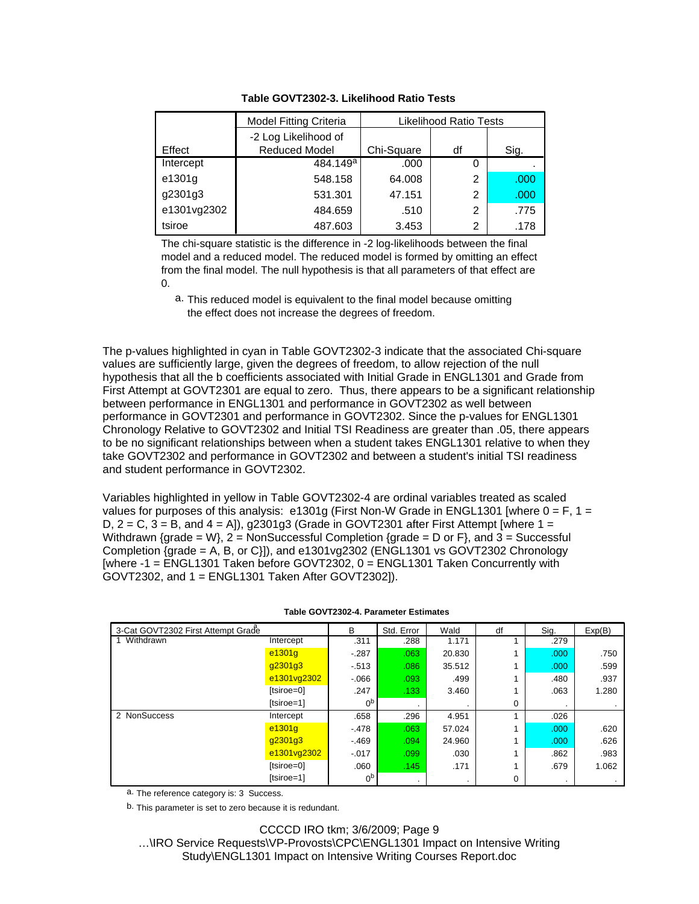|             | <b>Model Fitting Criteria</b> | Likelihood Ratio Tests |    |      |
|-------------|-------------------------------|------------------------|----|------|
|             | -2 Log Likelihood of          |                        |    |      |
| Effect      | <b>Reduced Model</b>          | Chi-Square             | df | Sig. |
| Intercept   | 484.149 <sup>a</sup>          | .000                   | 0  |      |
| e1301g      | 548.158                       | 64.008                 | 2  | .000 |
| g2301g3     | 531.301                       | 47.151                 | 2  | .000 |
| e1301vg2302 | 484.659                       | .510                   | 2  | .775 |
| tsiroe      | 487.603                       | 3.453                  | 2  | .178 |

**Table GOVT2302-3. Likelihood Ratio Tests**

The chi-square statistic is the difference in -2 log-likelihoods between the final model and a reduced model. The reduced model is formed by omitting an effect from the final model. The null hypothesis is that all parameters of that effect are 0.

a. This reduced model is equivalent to the final model because omitting the effect does not increase the degrees of freedom.

The p-values highlighted in cyan in Table GOVT2302-3 indicate that the associated Chi-square values are sufficiently large, given the degrees of freedom, to allow rejection of the null hypothesis that all the b coefficients associated with Initial Grade in ENGL1301 and Grade from First Attempt at GOVT2301 are equal to zero. Thus, there appears to be a significant relationship between performance in ENGL1301 and performance in GOVT2302 as well between performance in GOVT2301 and performance in GOVT2302. Since the p-values for ENGL1301 Chronology Relative to GOVT2302 and Initial TSI Readiness are greater than .05, there appears to be no significant relationships between when a student takes ENGL1301 relative to when they take GOVT2302 and performance in GOVT2302 and between a student's initial TSI readiness and student performance in GOVT2302.

Variables highlighted in yellow in Table GOVT2302-4 are ordinal variables treated as scaled values for purposes of this analysis: e1301g (First Non-W Grade in ENGL1301 [where  $0 = F$ , 1 = D,  $2 = C$ ,  $3 = B$ , and  $4 = A$ ), g2301g3 (Grade in GOVT2301 after First Attempt [where  $1 =$ Withdrawn {grade = W},  $2 =$  NonSuccessful Completion {grade = D or F}, and  $3 =$  Successful Completion {grade = A, B, or C}]), and e1301vg2302 (ENGL1301 vs GOVT2302 Chronology [where -1 = ENGL1301 Taken before GOVT2302, 0 = ENGL1301 Taken Concurrently with GOVT2302, and 1 = ENGL1301 Taken After GOVT2302]).

| 3-Cat GOVT2302 First Attempt Grade |             | B              | Std. Error | Wald   | df | Sig.              | Exp(B) |
|------------------------------------|-------------|----------------|------------|--------|----|-------------------|--------|
| Withdrawn                          | Intercept   | .311           | .288       | 1.171  |    | .279              |        |
|                                    | e1301g      | $-287$         | .063       | 20.830 |    | .000              | .750   |
|                                    | g2301g3     | $-513$         | .086       | 35.512 |    | .000 <sub>1</sub> | .599   |
|                                    | e1301vg2302 | $-066$         | .093       | .499   |    | .480              | .937   |
|                                    | [tsiroe=0]  | .247           | .133       | 3.460  |    | .063              | 1.280  |
|                                    | [tsiroe=1]  | 0 <sub>p</sub> |            |        | 0  |                   |        |
| 2 NonSuccess                       | Intercept   | .658           | .296       | 4.951  |    | .026              |        |
|                                    | e1301g      | $-478$         | .063       | 57.024 |    | .000              | .620   |
|                                    | g2301g3     | $-469$         | .094       | 24.960 |    | .000 <sub>1</sub> | .626   |
|                                    | e1301vg2302 | $-.017$        | .099       | .030   |    | .862              | .983   |
|                                    | [tsiroe=0]  | .060           | .145       | .171   |    | .679              | 1.062  |
|                                    | [tsiroe=1]  | 0 <sub>p</sub> |            |        | 0  | $\cdot$           |        |

#### **Table GOVT2302-4. Parameter Estimates**

a. The reference category is: 3 Success.

b. This parameter is set to zero because it is redundant.

CCCCD IRO tkm; 3/6/2009; Page 9 …\IRO Service Requests\VP-Provosts\CPC\ENGL1301 Impact on Intensive Writing Study\ENGL1301 Impact on Intensive Writing Courses Report.doc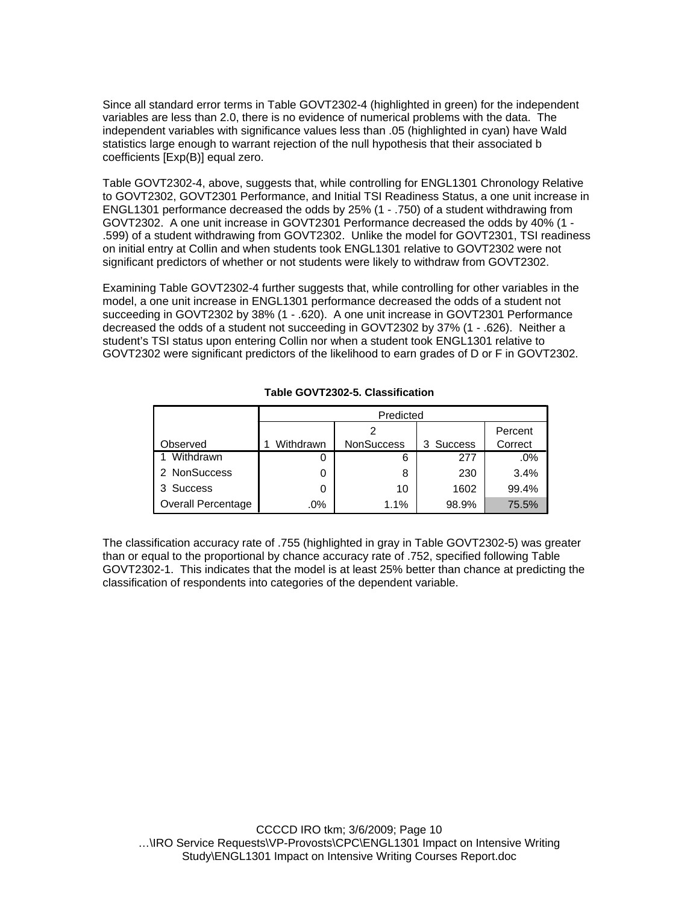Since all standard error terms in Table GOVT2302-4 (highlighted in green) for the independent variables are less than 2.0, there is no evidence of numerical problems with the data. The independent variables with significance values less than .05 (highlighted in cyan) have Wald statistics large enough to warrant rejection of the null hypothesis that their associated b coefficients [Exp(B)] equal zero.

Table GOVT2302-4, above, suggests that, while controlling for ENGL1301 Chronology Relative to GOVT2302, GOVT2301 Performance, and Initial TSI Readiness Status, a one unit increase in ENGL1301 performance decreased the odds by 25% (1 - .750) of a student withdrawing from GOVT2302. A one unit increase in GOVT2301 Performance decreased the odds by 40% (1 - .599) of a student withdrawing from GOVT2302. Unlike the model for GOVT2301, TSI readiness on initial entry at Collin and when students took ENGL1301 relative to GOVT2302 were not significant predictors of whether or not students were likely to withdraw from GOVT2302.

Examining Table GOVT2302-4 further suggests that, while controlling for other variables in the model, a one unit increase in ENGL1301 performance decreased the odds of a student not succeeding in GOVT2302 by 38% (1 - .620). A one unit increase in GOVT2301 Performance decreased the odds of a student not succeeding in GOVT2302 by 37% (1 - .626). Neither a student's TSI status upon entering Collin nor when a student took ENGL1301 relative to GOVT2302 were significant predictors of the likelihood to earn grades of D or F in GOVT2302.

|                           | Predicted |                   |           |         |  |  |  |
|---------------------------|-----------|-------------------|-----------|---------|--|--|--|
|                           |           | Percent           |           |         |  |  |  |
| Observed                  | Withdrawn | <b>NonSuccess</b> | 3 Success | Correct |  |  |  |
| Withdrawn                 |           | 6                 | 277       | $.0\%$  |  |  |  |
| 2 NonSuccess              | O         | 8                 | 230       | 3.4%    |  |  |  |
| 3 Success                 | 0         | 10                | 1602      | 99.4%   |  |  |  |
| <b>Overall Percentage</b> | .0%       | 1.1%              | 98.9%     | 75.5%   |  |  |  |

#### **Table GOVT2302-5. Classification**

The classification accuracy rate of .755 (highlighted in gray in Table GOVT2302-5) was greater than or equal to the proportional by chance accuracy rate of .752, specified following Table GOVT2302-1. This indicates that the model is at least 25% better than chance at predicting the classification of respondents into categories of the dependent variable.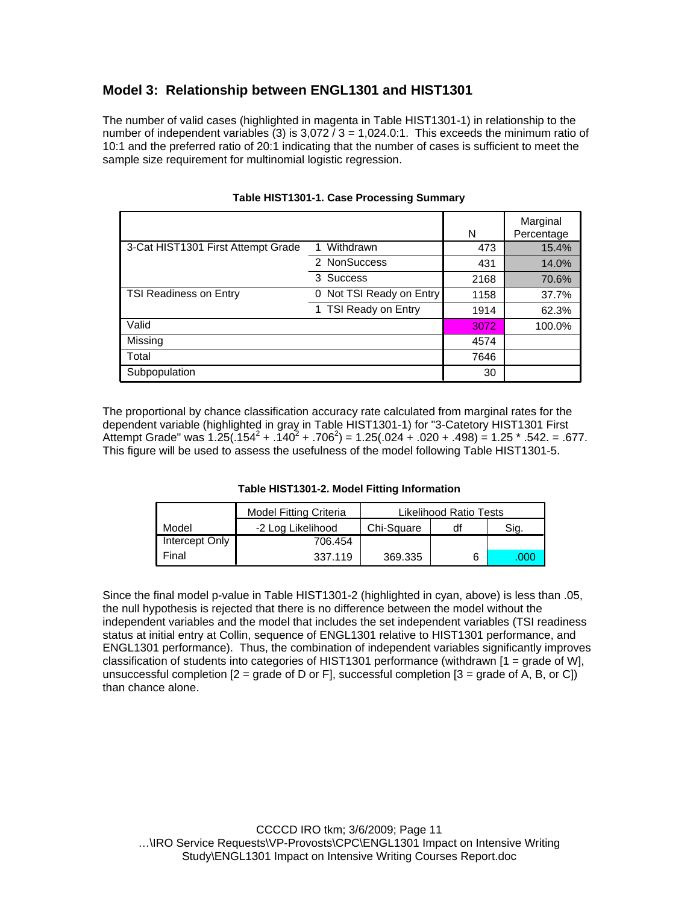## **Model 3: Relationship between ENGL1301 and HIST1301**

The number of valid cases (highlighted in magenta in Table HIST1301-1) in relationship to the number of independent variables (3) is  $3,072/3 = 1,024.0:1$ . This exceeds the minimum ratio of 10:1 and the preferred ratio of 20:1 indicating that the number of cases is sufficient to meet the sample size requirement for multinomial logistic regression.

|                                    |                             | N    | Marginal<br>Percentage |
|------------------------------------|-----------------------------|------|------------------------|
| 3-Cat HIST1301 First Attempt Grade | Withdrawn                   | 473  | 15.4%                  |
|                                    | 2 NonSuccess                | 431  | 14.0%                  |
|                                    | 3 Success                   | 2168 | 70.6%                  |
| <b>TSI Readiness on Entry</b>      | Not TSI Ready on Entry<br>0 | 1158 | 37.7%                  |
|                                    | 1 TSI Ready on Entry        | 1914 | 62.3%                  |
| Valid                              |                             | 3072 | 100.0%                 |
| Missing                            |                             | 4574 |                        |
| Total                              |                             | 7646 |                        |
| Subpopulation                      |                             | 30   |                        |

#### **Table HIST1301-1. Case Processing Summary**

The proportional by chance classification accuracy rate calculated from marginal rates for the dependent variable (highlighted in gray in Table HIST1301-1) for "3-Catetory HIST1301 First Attempt Grade" was  $1.25(.154^2+.140^2+.706^2) = 1.25(.024+.020+.498) = 1.25*.542. = .677.$ This figure will be used to assess the usefulness of the model following Table HIST1301-5.

**Table HIST1301-2. Model Fitting Information**

|                | <b>Model Fitting Criteria</b> | Likelihood Ratio Tests |    |      |
|----------------|-------------------------------|------------------------|----|------|
| Model          | -2 Log Likelihood             | Chi-Square             | df | Sig. |
| Intercept Only | 706.454                       |                        |    |      |
| Final          | 337.119                       | 369.335                |    | 000  |

Since the final model p-value in Table HIST1301-2 (highlighted in cyan, above) is less than .05, the null hypothesis is rejected that there is no difference between the model without the independent variables and the model that includes the set independent variables (TSI readiness status at initial entry at Collin, sequence of ENGL1301 relative to HIST1301 performance, and ENGL1301 performance). Thus, the combination of independent variables significantly improves classification of students into categories of HIST1301 performance (withdrawn [1 = grade of W], unsuccessful completion  $[2 = \text{grade of D or F}]$ , successful completion  $[3 = \text{grade of A, B, or C}]$ than chance alone.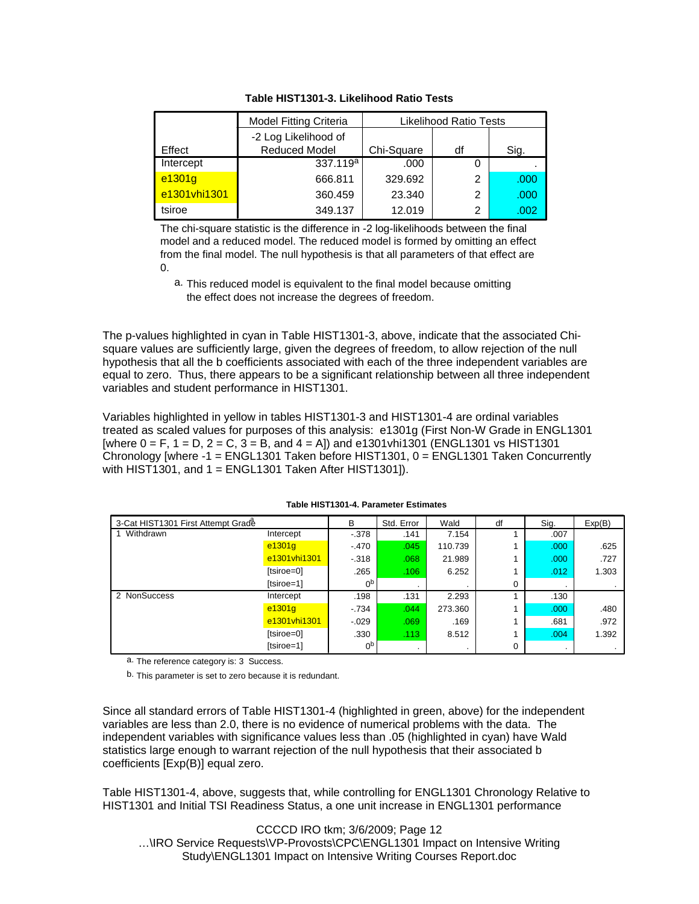|              | <b>Model Fitting Criteria</b> | Likelihood Ratio Tests |    |                   |
|--------------|-------------------------------|------------------------|----|-------------------|
|              | -2 Log Likelihood of          |                        |    |                   |
| Effect       | <b>Reduced Model</b>          | Chi-Square             | df | Sig.              |
| Intercept    | 337.119 <sup>a</sup>          | .000                   |    |                   |
| $e^{1301g}$  | 666.811                       | 329.692                | 2  | .000              |
| e1301vhi1301 | 360.459                       | 23.340                 | 2  | .000 <sub>1</sub> |
| tsiroe       | 349.137                       | 12.019                 | 2  | .002              |

**Table HIST1301-3. Likelihood Ratio Tests**

The chi-square statistic is the difference in -2 log-likelihoods between the final model and a reduced model. The reduced model is formed by omitting an effect from the final model. The null hypothesis is that all parameters of that effect are 0.

a. This reduced model is equivalent to the final model because omitting the effect does not increase the degrees of freedom.

The p-values highlighted in cyan in Table HIST1301-3, above, indicate that the associated Chisquare values are sufficiently large, given the degrees of freedom, to allow rejection of the null hypothesis that all the b coefficients associated with each of the three independent variables are equal to zero. Thus, there appears to be a significant relationship between all three independent variables and student performance in HIST1301.

Variables highlighted in yellow in tables HIST1301-3 and HIST1301-4 are ordinal variables treated as scaled values for purposes of this analysis: e1301g (First Non-W Grade in ENGL1301 [where  $0 = F$ ,  $1 = D$ ,  $2 = C$ ,  $3 = B$ , and  $4 = A$ ] and e1301 vhi1301 (ENGL1301 vs HIST1301) Chronology [where -1 = ENGL1301 Taken before HIST1301, 0 = ENGL1301 Taken Concurrently with HIST1301, and  $1 = ENGL1301$  Taken After HIST1301]).

| 3-Cat HIST1301 First Attempt Grade |              | B              | Std. Error | Wald    | df       | Sig.              | Exp(B) |
|------------------------------------|--------------|----------------|------------|---------|----------|-------------------|--------|
| Withdrawn                          | Intercept    | $-378$         | .141       | 7.154   |          | .007              |        |
|                                    | e1301g       | $-.470$        | .045       | 110.739 |          | .000 <sub>1</sub> | .625   |
|                                    | e1301vhi1301 | $-318$         | .068       | 21.989  |          | .000 <sub>1</sub> | .727   |
|                                    | [tsiroe=0]   | .265           | .106       | 6.252   |          | .012              | 1.303  |
|                                    | [tsiroe=1]   | 0 <sup>p</sup> |            |         | 0        |                   | . .    |
| 2 NonSuccess                       | Intercept    | .198           | .131       | 2.293   |          | .130              |        |
|                                    | e1301g       | $-734$         | .044       | 273.360 |          | .000 <sub>1</sub> | .480   |
|                                    | e1301vhi1301 | $-0.029$       | .069       | .169    |          | .681              | .972   |
|                                    | [tsiroe=0]   | .330           | .113       | 8.512   |          | .004              | 1.392  |
|                                    | [tsiroe=1]   | 0 <sub>p</sub> |            | $\cdot$ | $\Omega$ | $\cdot$           | $\sim$ |

#### **Table HIST1301-4. Parameter Estimates**

a. The reference category is: 3 Success.

b. This parameter is set to zero because it is redundant.

Since all standard errors of Table HIST1301-4 (highlighted in green, above) for the independent variables are less than 2.0, there is no evidence of numerical problems with the data. The independent variables with significance values less than .05 (highlighted in cyan) have Wald statistics large enough to warrant rejection of the null hypothesis that their associated b coefficients [Exp(B)] equal zero.

Table HIST1301-4, above, suggests that, while controlling for ENGL1301 Chronology Relative to HIST1301 and Initial TSI Readiness Status, a one unit increase in ENGL1301 performance

CCCCD IRO tkm; 3/6/2009; Page 12 …\IRO Service Requests\VP-Provosts\CPC\ENGL1301 Impact on Intensive Writing Study\ENGL1301 Impact on Intensive Writing Courses Report.doc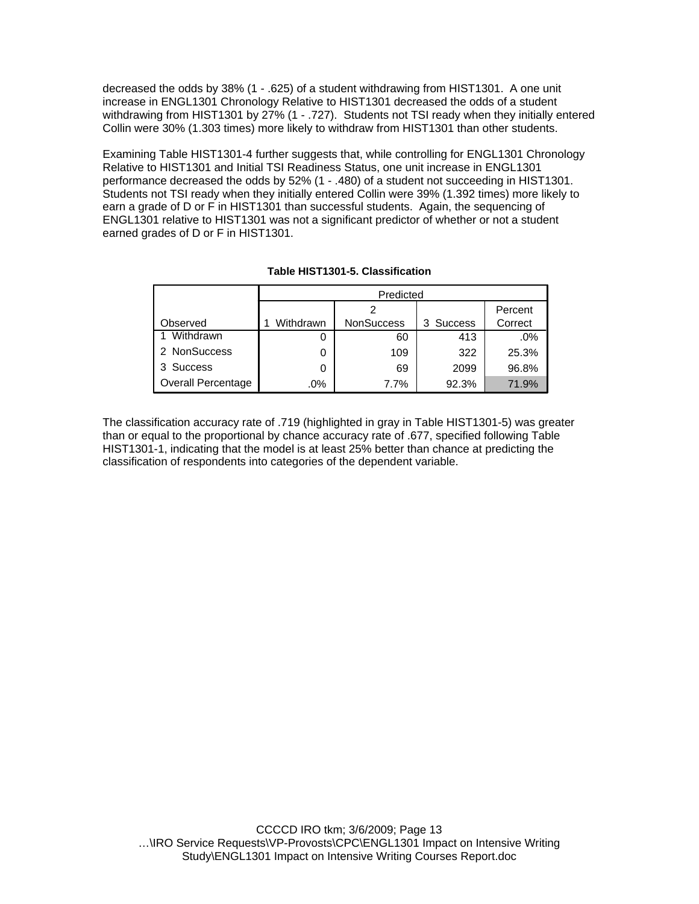decreased the odds by 38% (1 - .625) of a student withdrawing from HIST1301. A one unit increase in ENGL1301 Chronology Relative to HIST1301 decreased the odds of a student withdrawing from HIST1301 by 27% (1 - .727). Students not TSI ready when they initially entered Collin were 30% (1.303 times) more likely to withdraw from HIST1301 than other students.

Examining Table HIST1301-4 further suggests that, while controlling for ENGL1301 Chronology Relative to HIST1301 and Initial TSI Readiness Status, one unit increase in ENGL1301 performance decreased the odds by 52% (1 - .480) of a student not succeeding in HIST1301. Students not TSI ready when they initially entered Collin were 39% (1.392 times) more likely to earn a grade of D or F in HIST1301 than successful students. Again, the sequencing of ENGL1301 relative to HIST1301 was not a significant predictor of whether or not a student earned grades of D or F in HIST1301.

|                           |           | Predicted         |                      |         |  |  |  |
|---------------------------|-----------|-------------------|----------------------|---------|--|--|--|
|                           |           |                   |                      | Percent |  |  |  |
| Observed                  | Withdrawn | <b>NonSuccess</b> | <b>Success</b><br>3. | Correct |  |  |  |
| Withdrawn                 | 0         | 60                | 413                  | .0%     |  |  |  |
| 2 NonSuccess              | 0         | 109               | 322                  | 25.3%   |  |  |  |
| <b>Success</b>            | 0         | 69                | 2099                 | 96.8%   |  |  |  |
| <b>Overall Percentage</b> | $.0\%$    | 7.7%              | 92.3%                | 71.9%   |  |  |  |

#### **Table HIST1301-5. Classification**

The classification accuracy rate of .719 (highlighted in gray in Table HIST1301-5) was greater than or equal to the proportional by chance accuracy rate of .677, specified following Table HIST1301-1, indicating that the model is at least 25% better than chance at predicting the classification of respondents into categories of the dependent variable.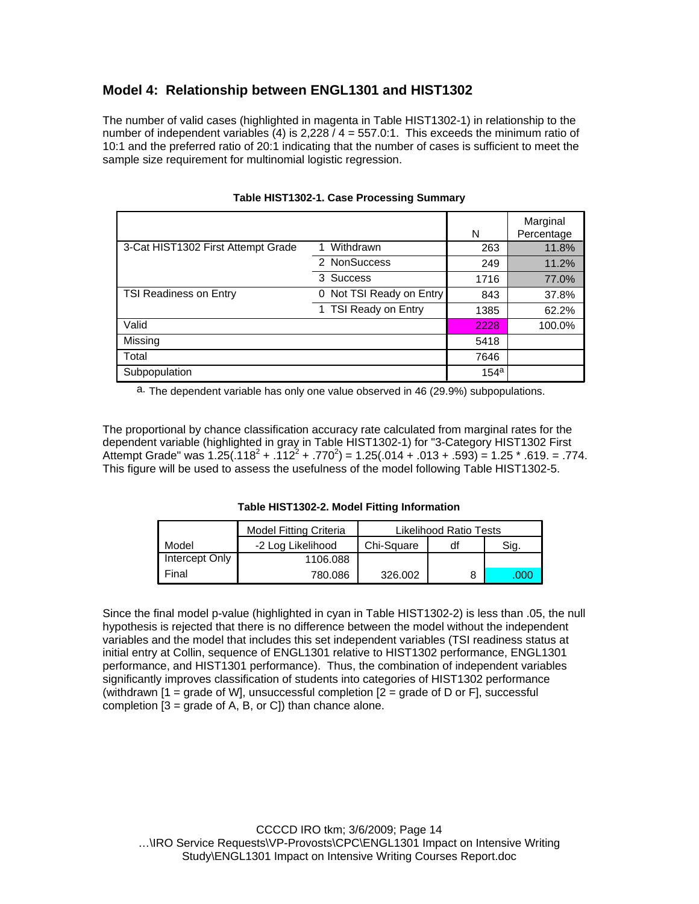## **Model 4: Relationship between ENGL1301 and HIST1302**

The number of valid cases (highlighted in magenta in Table HIST1302-1) in relationship to the number of independent variables  $(4)$  is 2,228  $/$  4 = 557 0:1. This exceeds the minimum ratio of 10:1 and the preferred ratio of 20:1 indicating that the number of cases is sufficient to meet the sample size requirement for multinomial logistic regression.

|                                    |                             | N       | Marginal<br>Percentage |
|------------------------------------|-----------------------------|---------|------------------------|
| 3-Cat HIST1302 First Attempt Grade | Withdrawn<br>1              | 263     | 11.8%                  |
|                                    | 2 NonSuccess                | 249     | 11.2%                  |
|                                    | <b>Success</b><br>3         | 1716    | 77.0%                  |
| TSI Readiness on Entry             | Not TSI Ready on Entry<br>0 | 843     | 37.8%                  |
|                                    | 1 TSI Ready on Entry        | 1385    | 62.2%                  |
| Valid                              |                             | 2228    | 100.0%                 |
| Missing                            |                             | 5418    |                        |
| Total                              |                             | 7646    |                        |
| Subpopulation                      |                             | $154^a$ |                        |

#### **Table HIST1302-1. Case Processing Summary**

a. The dependent variable has only one value observed in 46 (29.9%) subpopulations.

The proportional by chance classification accuracy rate calculated from marginal rates for the dependent variable (highlighted in gray in Table HIST1302-1) for "3-Category HIST1302 First Attempt Grade" was  $1.25(.118^2+.112^2+.770^2) = 1.25(.014+.013+.593) = 1.25*.619. = .774.$ This figure will be used to assess the usefulness of the model following Table HIST1302-5.

**Table HIST1302-2. Model Fitting Information**

|                | <b>Model Fitting Criteria</b> | Likelihood Ratio Tests |    |      |
|----------------|-------------------------------|------------------------|----|------|
| Model          | -2 Log Likelihood             | Chi-Square             | df | Sig. |
| Intercept Only | 1106.088                      |                        |    |      |
| Final          | 780.086                       | 326,002                |    | .000 |

Since the final model p-value (highlighted in cyan in Table HIST1302-2) is less than .05, the null hypothesis is rejected that there is no difference between the model without the independent variables and the model that includes this set independent variables (TSI readiness status at initial entry at Collin, sequence of ENGL1301 relative to HIST1302 performance, ENGL1301 performance, and HIST1301 performance). Thus, the combination of independent variables significantly improves classification of students into categories of HIST1302 performance (withdrawn  $[1]$  = grade of WI, unsuccessful completion  $[2]$  = grade of D or FI, successful completion  $[3 = \text{grade of A}, B, \text{ or C}]$  than chance alone.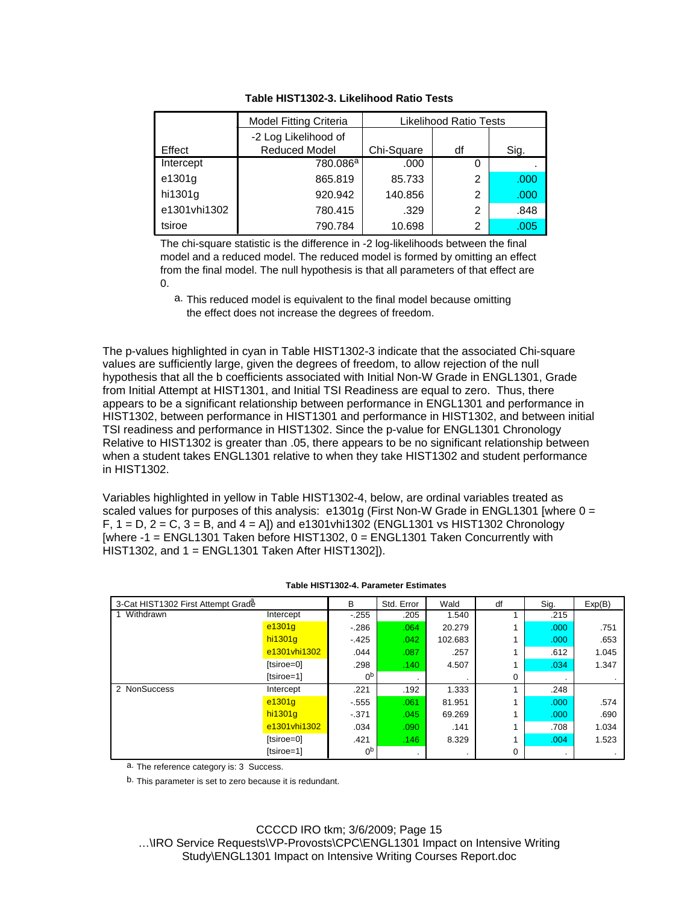|              | <b>Model Fitting Criteria</b> | <b>Likelihood Ratio Tests</b> |    |      |
|--------------|-------------------------------|-------------------------------|----|------|
|              | -2 Log Likelihood of          |                               |    |      |
| Effect       | <b>Reduced Model</b>          | Chi-Square                    | df | Sig. |
| Intercept    | 780.086 <sup>a</sup>          | .000                          | 0  |      |
| e1301g       | 865.819                       | 85.733                        | 2  | .000 |
| hi1301g      | 920.942                       | 140.856                       | 2  | .000 |
| e1301vhi1302 | 780.415                       | .329                          | 2  | .848 |
| tsiroe       | 790.784                       | 10.698                        | 2  | .005 |

#### **Table HIST1302-3. Likelihood Ratio Tests**

The chi-square statistic is the difference in -2 log-likelihoods between the final model and a reduced model. The reduced model is formed by omitting an effect from the final model. The null hypothesis is that all parameters of that effect are 0.

a. This reduced model is equivalent to the final model because omitting the effect does not increase the degrees of freedom.

The p-values highlighted in cyan in Table HIST1302-3 indicate that the associated Chi-square values are sufficiently large, given the degrees of freedom, to allow rejection of the null hypothesis that all the b coefficients associated with Initial Non-W Grade in ENGL1301, Grade from Initial Attempt at HIST1301, and Initial TSI Readiness are equal to zero. Thus, there appears to be a significant relationship between performance in ENGL1301 and performance in HIST1302, between performance in HIST1301 and performance in HIST1302, and between initial TSI readiness and performance in HIST1302. Since the p-value for ENGL1301 Chronology Relative to HIST1302 is greater than .05, there appears to be no significant relationship between when a student takes ENGL1301 relative to when they take HIST1302 and student performance in HIST1302.

Variables highlighted in yellow in Table HIST1302-4, below, are ordinal variables treated as scaled values for purposes of this analysis:  $e1301g$  (First Non-W Grade in ENGL1301 [where  $0 =$  $F, 1 = D, 2 = C, 3 = B,$  and  $4 = A$ ) and e1301vhi1302 (ENGL1301 vs HIST1302 Chronology [where -1 = ENGL1301 Taken before HIST1302, 0 = ENGL1301 Taken Concurrently with HIST1302, and 1 = ENGL1301 Taken After HIST1302]).

| 3-Cat HIST1302 First Attempt Grade |              | B              | Std. Error | Wald    | df | Sig.              | Exp(B) |
|------------------------------------|--------------|----------------|------------|---------|----|-------------------|--------|
| Withdrawn                          | Intercept    | $-255$         | .205       | 1.540   |    | .215              |        |
|                                    | e1301g       | $-286$         | .064       | 20.279  |    | .000 <sub>1</sub> | .751   |
|                                    | hi1301g      | $-425$         | .042       | 102.683 |    | .000 <sub>1</sub> | .653   |
|                                    | e1301vhi1302 | .044           | .087       | .257    |    | .612              | 1.045  |
|                                    | [tsiroe=0]   | .298           | .140       | 4.507   |    | .034              | 1.347  |
|                                    | [tsiroe=1]   | 0 <sub>p</sub> |            |         | 0  | $\cdot$           | $\sim$ |
| 2 NonSuccess                       | Intercept    | .221           | .192       | 1.333   |    | .248              |        |
|                                    | e1301g       | $-555$         | .061       | 81.951  |    | .000 <sub>1</sub> | .574   |
|                                    | hi1301g      | $-371$         | .045       | 69.269  |    | .000 <sub>1</sub> | .690   |
|                                    | e1301vhi1302 | .034           | .090       | .141    |    | .708              | 1.034  |
|                                    | [tsiroe=0]   | .421           | .146       | 8.329   |    | .004              | 1.523  |
|                                    | [tsiroe=1]   | 0 <sub>p</sub> | $\cdot$    |         | 0  | $\cdot$           | $\sim$ |

#### **Table HIST1302-4. Parameter Estimates**

a. The reference category is: 3 Success.

b. This parameter is set to zero because it is redundant.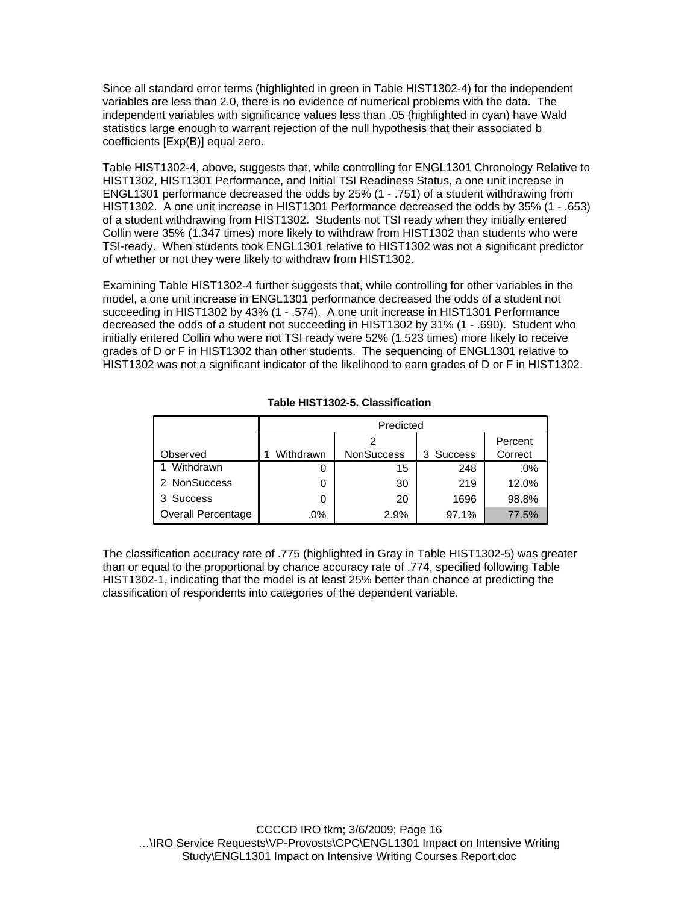Since all standard error terms (highlighted in green in Table HIST1302-4) for the independent variables are less than 2.0, there is no evidence of numerical problems with the data. The independent variables with significance values less than .05 (highlighted in cyan) have Wald statistics large enough to warrant rejection of the null hypothesis that their associated b coefficients [Exp(B)] equal zero.

Table HIST1302-4, above, suggests that, while controlling for ENGL1301 Chronology Relative to HIST1302, HIST1301 Performance, and Initial TSI Readiness Status, a one unit increase in ENGL1301 performance decreased the odds by 25% (1 - .751) of a student withdrawing from HIST1302. A one unit increase in HIST1301 Performance decreased the odds by 35% (1 - .653) of a student withdrawing from HIST1302. Students not TSI ready when they initially entered Collin were 35% (1.347 times) more likely to withdraw from HIST1302 than students who were TSI-ready. When students took ENGL1301 relative to HIST1302 was not a significant predictor of whether or not they were likely to withdraw from HIST1302.

Examining Table HIST1302-4 further suggests that, while controlling for other variables in the model, a one unit increase in ENGL1301 performance decreased the odds of a student not succeeding in HIST1302 by 43% (1 - .574). A one unit increase in HIST1301 Performance decreased the odds of a student not succeeding in HIST1302 by 31% (1 - .690). Student who initially entered Collin who were not TSI ready were 52% (1.523 times) more likely to receive grades of D or F in HIST1302 than other students. The sequencing of ENGL1301 relative to HIST1302 was not a significant indicator of the likelihood to earn grades of D or F in HIST1302.

|                           |           | Predicted         |           |         |  |  |  |
|---------------------------|-----------|-------------------|-----------|---------|--|--|--|
|                           |           |                   |           | Percent |  |  |  |
| Observed                  | Withdrawn | <b>NonSuccess</b> | 3 Success | Correct |  |  |  |
| Withdrawn                 | Ü         | 15                | 248       | $.0\%$  |  |  |  |
| 2 NonSuccess              | O         | 30                | 219       | 12.0%   |  |  |  |
| <b>Success</b>            | 0         | 20                | 1696      | 98.8%   |  |  |  |
| <b>Overall Percentage</b> | .0%       | 2.9%              | 97.1%     | 77.5%   |  |  |  |

#### **Table HIST1302-5. Classification**

The classification accuracy rate of .775 (highlighted in Gray in Table HIST1302-5) was greater than or equal to the proportional by chance accuracy rate of .774, specified following Table HIST1302-1, indicating that the model is at least 25% better than chance at predicting the classification of respondents into categories of the dependent variable.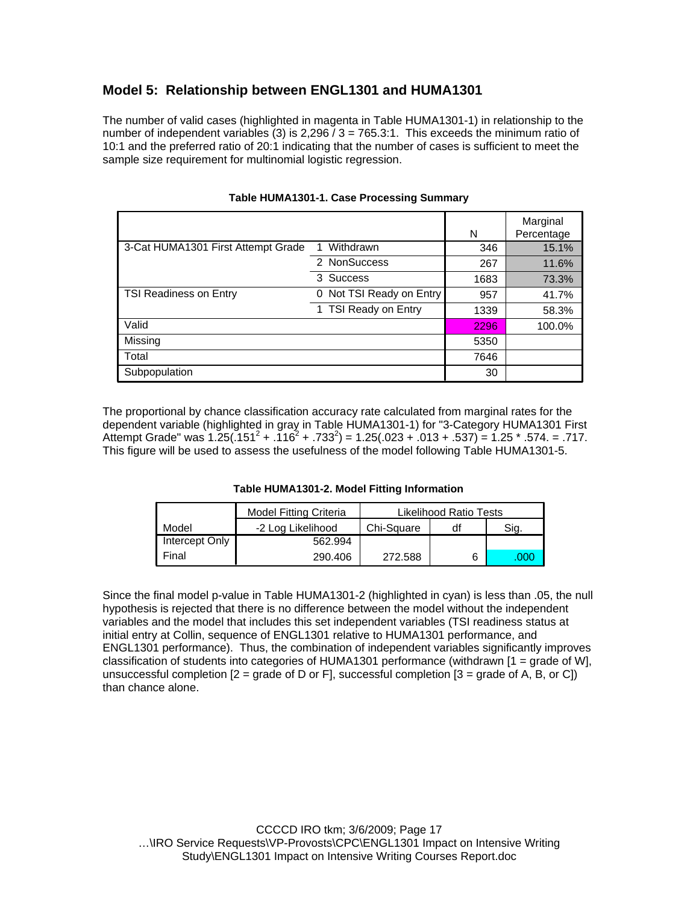### **Model 5: Relationship between ENGL1301 and HUMA1301**

The number of valid cases (highlighted in magenta in Table HUMA1301-1) in relationship to the number of independent variables (3) is  $2,296/3 = 765.3:1$ . This exceeds the minimum ratio of 10:1 and the preferred ratio of 20:1 indicating that the number of cases is sufficient to meet the sample size requirement for multinomial logistic regression.

|                                    |                          | N    | Marginal<br>Percentage |
|------------------------------------|--------------------------|------|------------------------|
| 3-Cat HUMA1301 First Attempt Grade | Withdrawn                | 346  | 15.1%                  |
|                                    | 2 NonSuccess             | 267  | 11.6%                  |
|                                    | 3 Success                | 1683 | 73.3%                  |
| TSI Readiness on Entry             | 0 Not TSI Ready on Entry | 957  | 41.7%                  |
|                                    | TSI Ready on Entry       | 1339 | 58.3%                  |
| Valid                              |                          | 2296 | 100.0%                 |
| Missing                            |                          | 5350 |                        |
| Total                              |                          | 7646 |                        |
| Subpopulation                      |                          | 30   |                        |

#### **Table HUMA1301-1. Case Processing Summary**

The proportional by chance classification accuracy rate calculated from marginal rates for the dependent variable (highlighted in gray in Table HUMA1301-1) for "3-Category HUMA1301 First Attempt Grade" was  $1.25(.151^2+.116^2+.733^2) = 1.25(.023+.013+.537) = 1.25*.574. = .717.$ This figure will be used to assess the usefulness of the model following Table HUMA1301-5.

**Table HUMA1301-2. Model Fitting Information**

|                | <b>Model Fitting Criteria</b> | Likelihood Ratio Tests |    |      |
|----------------|-------------------------------|------------------------|----|------|
| Model          | -2 Log Likelihood             | Chi-Square             | df | Sig. |
| Intercept Only | 562.994                       |                        |    |      |
| l Final        | 290.406                       | 272.588                |    | .000 |

Since the final model p-value in Table HUMA1301-2 (highlighted in cyan) is less than .05, the null hypothesis is rejected that there is no difference between the model without the independent variables and the model that includes this set independent variables (TSI readiness status at initial entry at Collin, sequence of ENGL1301 relative to HUMA1301 performance, and ENGL1301 performance). Thus, the combination of independent variables significantly improves classification of students into categories of HUMA1301 performance (withdrawn [1 = grade of W], unsuccessful completion  $[2 = \text{grade of D} \text{ or } F]$ , successful completion  $[3 = \text{grade of A}, B, \text{ or } C]$ than chance alone.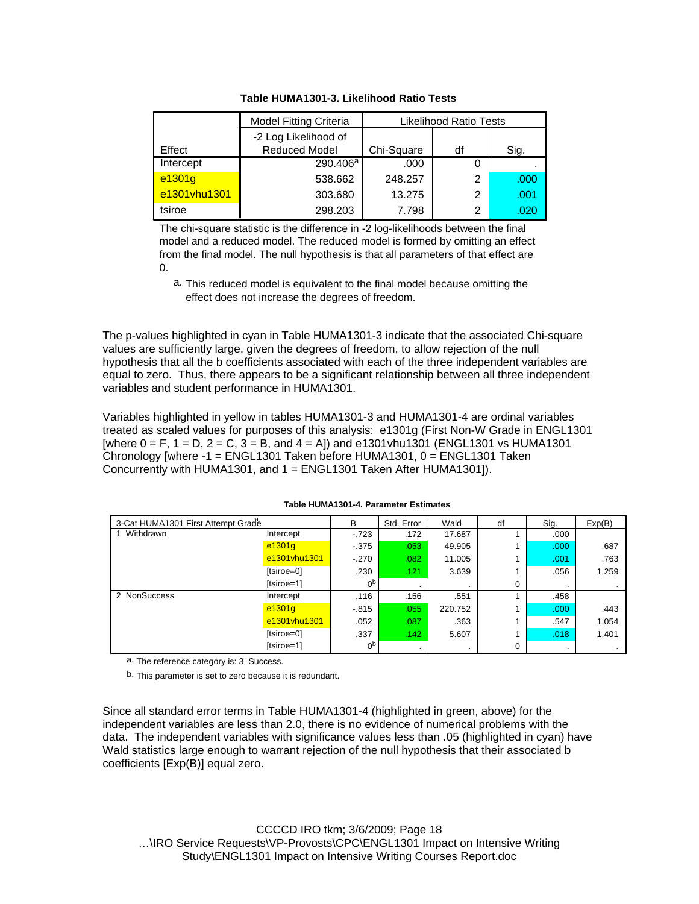|              | <b>Model Fitting Criteria</b> | Likelihood Ratio Tests |    |      |
|--------------|-------------------------------|------------------------|----|------|
|              | -2 Log Likelihood of          |                        |    |      |
| Effect       | <b>Reduced Model</b>          | Chi-Square             | df | Sig. |
| Intercept    | 290.406 <sup>a</sup>          | .000                   | 0  |      |
| e1301g       | 538.662                       | 248.257                | 2  | .000 |
| e1301vhu1301 | 303.680                       | 13.275                 | 2  | .001 |
| tsiroe       | 298.203                       | 7.798                  | 2  | .020 |

**Table HUMA1301-3. Likelihood Ratio Tests**

The chi-square statistic is the difference in -2 log-likelihoods between the final model and a reduced model. The reduced model is formed by omitting an effect from the final model. The null hypothesis is that all parameters of that effect are 0.

a. This reduced model is equivalent to the final model because omitting the effect does not increase the degrees of freedom.

The p-values highlighted in cyan in Table HUMA1301-3 indicate that the associated Chi-square values are sufficiently large, given the degrees of freedom, to allow rejection of the null hypothesis that all the b coefficients associated with each of the three independent variables are equal to zero. Thus, there appears to be a significant relationship between all three independent variables and student performance in HUMA1301.

Variables highlighted in yellow in tables HUMA1301-3 and HUMA1301-4 are ordinal variables treated as scaled values for purposes of this analysis: e1301g (First Non-W Grade in ENGL1301  $[where 0 = F, 1 = D, 2 = C, 3 = B, and 4 = A]$  and  $[61301 \text{ v}h] = 1301 \text{ v}h$  (ENGL1301 vs HUMA1301 Chronology [where -1 = ENGL1301 Taken before HUMA1301, 0 = ENGL1301 Taken Concurrently with HUMA1301, and 1 = ENGL1301 Taken After HUMA1301]).

| 3-Cat HUMA1301 First Attempt Grade |              | в              | Std. Error | Wald    | df | Sig.    | Exp(B) |
|------------------------------------|--------------|----------------|------------|---------|----|---------|--------|
| Withdrawn                          | Intercept    | $-723$         | .172       | 17.687  |    | .000    |        |
|                                    | e1301g       | $-375$         | .053       | 49.905  |    | .000    | .687   |
|                                    | e1301vhu1301 | $-270$         | .082       | 11.005  |    | .001    | .763   |
|                                    | [tsiroe=0]   | .230           | .121       | 3.639   |    | .056    | 1.259  |
|                                    | [tsiroe=1]   | 0 <sub>p</sub> |            |         | 0  |         |        |
| 2 NonSuccess                       | Intercept    | .116           | .156       | .551    |    | .458    |        |
|                                    | e1301g       | $-815$         | .055       | 220.752 |    | .000    | .443   |
|                                    | e1301vhu1301 | .052           | .087       | .363    |    | .547    | 1.054  |
|                                    | [tsiroe=0]   | .337           | .142       | 5.607   |    | .018    | 1.401  |
|                                    | [tsiroe=1]   | 0 <sub>p</sub> |            |         | 0  | $\cdot$ |        |

#### **Table HUMA1301-4. Parameter Estimates**

a. The reference category is: 3 Success.

b. This parameter is set to zero because it is redundant.

Since all standard error terms in Table HUMA1301-4 (highlighted in green, above) for the independent variables are less than 2.0, there is no evidence of numerical problems with the data. The independent variables with significance values less than .05 (highlighted in cyan) have Wald statistics large enough to warrant rejection of the null hypothesis that their associated b coefficients [Exp(B)] equal zero.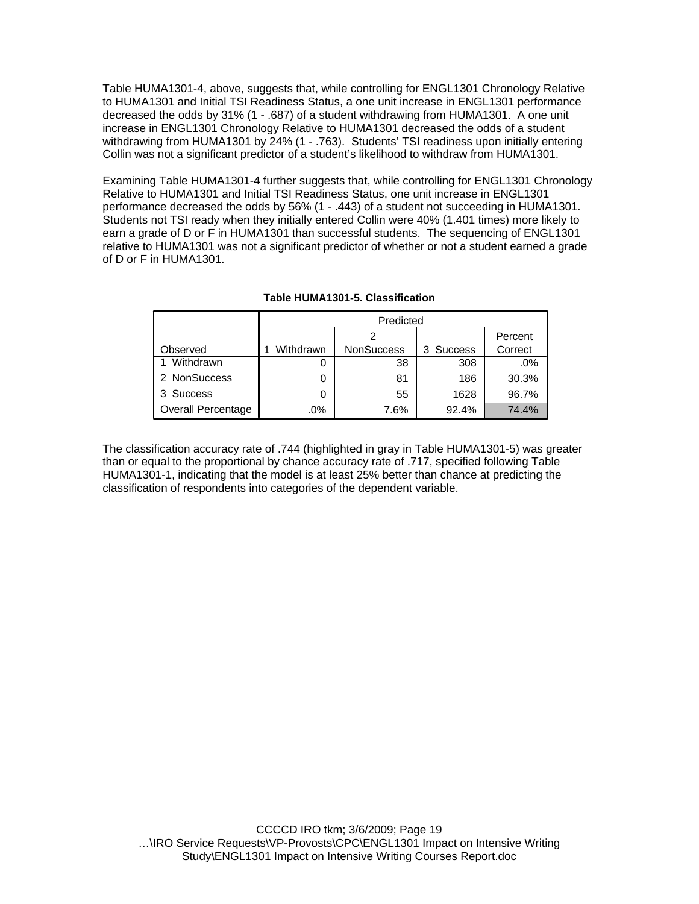Table HUMA1301-4, above, suggests that, while controlling for ENGL1301 Chronology Relative to HUMA1301 and Initial TSI Readiness Status, a one unit increase in ENGL1301 performance decreased the odds by 31% (1 - .687) of a student withdrawing from HUMA1301. A one unit increase in ENGL1301 Chronology Relative to HUMA1301 decreased the odds of a student withdrawing from HUMA1301 by 24% (1 - .763). Students' TSI readiness upon initially entering Collin was not a significant predictor of a student's likelihood to withdraw from HUMA1301.

Examining Table HUMA1301-4 further suggests that, while controlling for ENGL1301 Chronology Relative to HUMA1301 and Initial TSI Readiness Status, one unit increase in ENGL1301 performance decreased the odds by 56% (1 - .443) of a student not succeeding in HUMA1301. Students not TSI ready when they initially entered Collin were 40% (1.401 times) more likely to earn a grade of D or F in HUMA1301 than successful students. The sequencing of ENGL1301 relative to HUMA1301 was not a significant predictor of whether or not a student earned a grade of D or F in HUMA1301.

|                           | Predicted |                   |           |         |  |  |  |
|---------------------------|-----------|-------------------|-----------|---------|--|--|--|
|                           |           | Percent           |           |         |  |  |  |
| Observed                  | Withdrawn | <b>NonSuccess</b> | 3 Success | Correct |  |  |  |
| Withdrawn                 |           | 38                | 308       | $.0\%$  |  |  |  |
| 2 NonSuccess              |           | 81                | 186       | 30.3%   |  |  |  |
| 3 Success                 | 0         | 55                | 1628      | 96.7%   |  |  |  |
| <b>Overall Percentage</b> | .0%       | 7.6%              | 92.4%     | 74.4%   |  |  |  |

#### **Table HUMA1301-5. Classification**

The classification accuracy rate of .744 (highlighted in gray in Table HUMA1301-5) was greater than or equal to the proportional by chance accuracy rate of .717, specified following Table HUMA1301-1, indicating that the model is at least 25% better than chance at predicting the classification of respondents into categories of the dependent variable.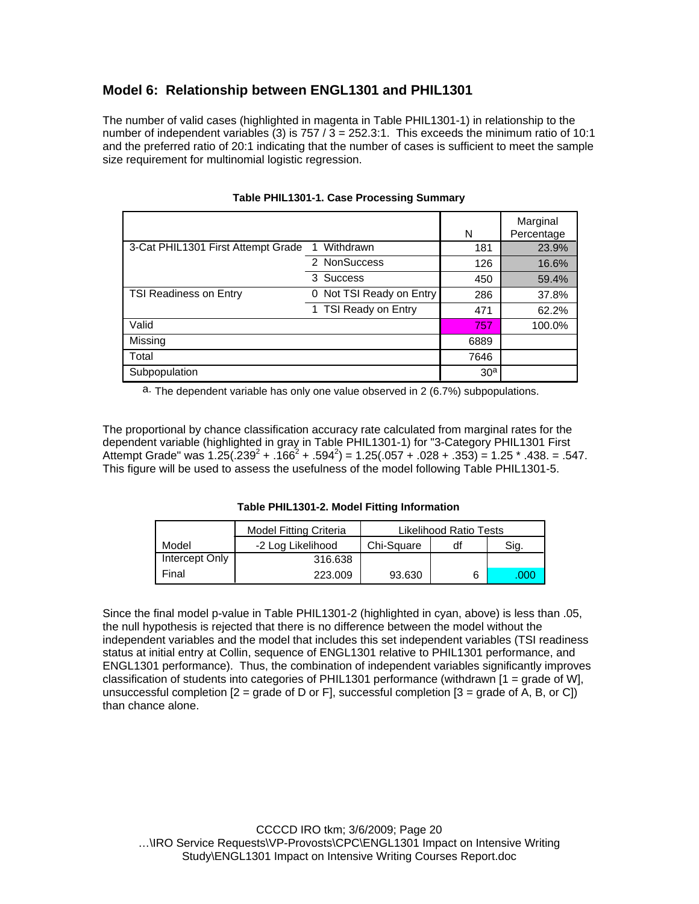## **Model 6: Relationship between ENGL1301 and PHIL1301**

The number of valid cases (highlighted in magenta in Table PHIL1301-1) in relationship to the number of independent variables (3) is  $757 / 3 = 252.3$ :1. This exceeds the minimum ratio of 10:1 and the preferred ratio of 20:1 indicating that the number of cases is sufficient to meet the sample size requirement for multinomial logistic regression.

|                                    |                             | N               | Marginal<br>Percentage |
|------------------------------------|-----------------------------|-----------------|------------------------|
| 3-Cat PHIL1301 First Attempt Grade | Withdrawn                   | 181             | 23.9%                  |
|                                    | 2 NonSuccess                | 126             | 16.6%                  |
|                                    | 3 Success                   | 450             | 59.4%                  |
| <b>TSI Readiness on Entry</b>      | Not TSI Ready on Entry<br>0 | 286             | 37.8%                  |
|                                    | 1 TSI Ready on Entry        | 471             | 62.2%                  |
| Valid                              |                             | 757             | 100.0%                 |
| Missing                            |                             | 6889            |                        |
| Total                              |                             | 7646            |                        |
| Subpopulation                      |                             | 30 <sup>a</sup> |                        |

#### **Table PHIL1301-1. Case Processing Summary**

a. The dependent variable has only one value observed in 2 (6.7%) subpopulations.

The proportional by chance classification accuracy rate calculated from marginal rates for the dependent variable (highlighted in gray in Table PHIL1301-1) for "3-Category PHIL1301 First Attempt Grade" was  $1.25(.239^2+.166^2+.594^2) = 1.25(.057+.028+.353) = 1.25*.438. = .547.$ This figure will be used to assess the usefulness of the model following Table PHIL1301-5.

**Table PHIL1301-2. Model Fitting Information**

|                | <b>Model Fitting Criteria</b> | Likelihood Ratio Tests |    |      |
|----------------|-------------------------------|------------------------|----|------|
| Model          | -2 Log Likelihood             | Chi-Square             | df | Sig. |
| Intercept Only | 316.638                       |                        |    |      |
| Final          | 223.009                       | 93.630                 |    | ,000 |

Since the final model p-value in Table PHIL1301-2 (highlighted in cyan, above) is less than .05, the null hypothesis is rejected that there is no difference between the model without the independent variables and the model that includes this set independent variables (TSI readiness status at initial entry at Collin, sequence of ENGL1301 relative to PHIL1301 performance, and ENGL1301 performance). Thus, the combination of independent variables significantly improves classification of students into categories of PHIL1301 performance (withdrawn [1 = grade of W], unsuccessful completion  $[2 = \text{grade of } D \text{ or } F]$ , successful completion  $[3 = \text{grade of } A, B, \text{ or } Cl]$ than chance alone.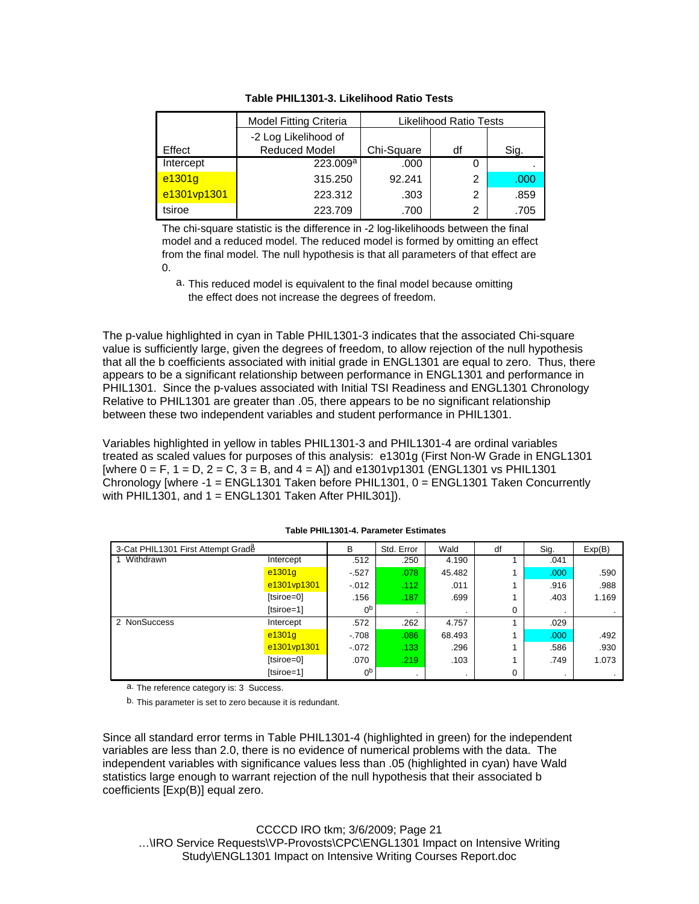|             | <b>Model Fitting Criteria</b> | <b>Likelihood Ratio Tests</b> |    |      |
|-------------|-------------------------------|-------------------------------|----|------|
|             | -2 Log Likelihood of          |                               |    |      |
| Effect      | <b>Reduced Model</b>          | Chi-Square                    | df | Sig. |
| Intercept   | 223.009 <sup>a</sup>          | .000                          | 0  |      |
| e1301g      | 315.250                       | 92.241                        | 2  | .000 |
| e1301vp1301 | 223.312                       | .303                          | 2  | .859 |
| tsiroe      | 223.709                       | .700                          | 2  | .705 |

**Table PHIL1301-3. Likelihood Ratio Tests**

The chi-square statistic is the difference in -2 log-likelihoods between the final model and a reduced model. The reduced model is formed by omitting an effect from the final model. The null hypothesis is that all parameters of that effect are  $\Omega$ 

a. This reduced model is equivalent to the final model because omitting the effect does not increase the degrees of freedom.

The p-value highlighted in cyan in Table PHIL1301-3 indicates that the associated Chi-square value is sufficiently large, given the degrees of freedom, to allow rejection of the null hypothesis that all the b coefficients associated with initial grade in ENGL1301 are equal to zero. Thus, there appears to be a significant relationship between performance in ENGL1301 and performance in PHIL1301. Since the p-values associated with Initial TSI Readiness and ENGL1301 Chronology Relative to PHIL1301 are greater than .05, there appears to be no significant relationship between these two independent variables and student performance in PHIL1301.

Variables highlighted in yellow in tables PHIL1301-3 and PHIL1301-4 are ordinal variables treated as scaled values for purposes of this analysis: e1301g (First Non-W Grade in ENGL1301 [where  $0 = F$ ,  $1 = D$ ,  $2 = C$ ,  $3 = B$ , and  $4 = A$ ] and e1301vp1301 (ENGL1301 vs PHIL1301 Chronology [where -1 = ENGL1301 Taken before PHIL1301, 0 = ENGL1301 Taken Concurrently with PHIL1301, and  $1 = ENGL1301$  Taken After PHIL301]).

| 3-Cat PHIL1301 First Attempt Grade |             | B              | Std. Error | Wald    | df | Sig.              | Exp(B) |
|------------------------------------|-------------|----------------|------------|---------|----|-------------------|--------|
| Withdrawn                          | Intercept   | .512           | .250       | 4.190   |    | .041              |        |
|                                    | e1301g      | $-527$         | .078       | 45.482  |    | .000 <sub>1</sub> | .590   |
|                                    | e1301vp1301 | $-0.012$       | .112       | .011    |    | .916              | .988   |
|                                    | [tsiroe=0]  | .156           | .187       | .699    |    | .403              | 1.169  |
|                                    | [tsiroe=1]  | 0 <sub>p</sub> |            | $\cdot$ | 0  |                   | $\sim$ |
| 2 NonSuccess                       | Intercept   | .572           | .262       | 4.757   |    | .029              |        |
|                                    | e1301g      | $-708$         | .086       | 68.493  |    | .000 <sub>1</sub> | .492   |
|                                    | e1301vp1301 | $-072$         | .133       | .296    |    | .586              | .930   |
|                                    | [tsiroe=0]  | .070           | .219       | .103    |    | .749              | 1.073  |
|                                    | [tsiroe=1]  | 0 <sub>p</sub> |            | $\cdot$ | 0  | $\cdot$           |        |

#### **Table PHIL1301-4. Parameter Estimates**

a. The reference category is: 3 Success.

b. This parameter is set to zero because it is redundant.

Since all standard error terms in Table PHIL1301-4 (highlighted in green) for the independent variables are less than 2.0, there is no evidence of numerical problems with the data. The independent variables with significance values less than .05 (highlighted in cyan) have Wald statistics large enough to warrant rejection of the null hypothesis that their associated b coefficients [Exp(B)] equal zero.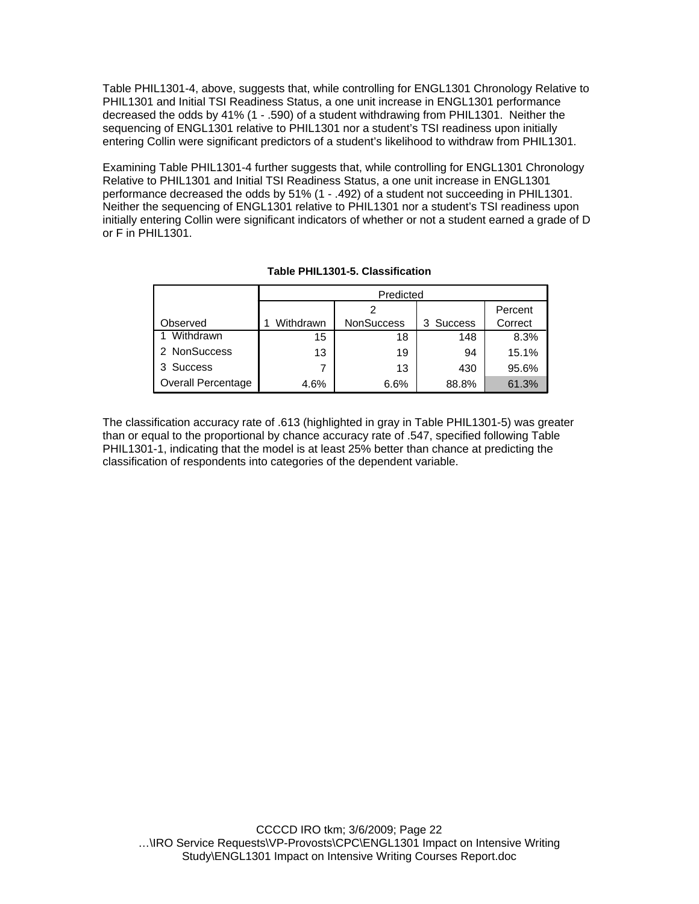Table PHIL1301-4, above, suggests that, while controlling for ENGL1301 Chronology Relative to PHIL1301 and Initial TSI Readiness Status, a one unit increase in ENGL1301 performance decreased the odds by 41% (1 - .590) of a student withdrawing from PHIL1301. Neither the sequencing of ENGL1301 relative to PHIL1301 nor a student's TSI readiness upon initially entering Collin were significant predictors of a student's likelihood to withdraw from PHIL1301.

Examining Table PHIL1301-4 further suggests that, while controlling for ENGL1301 Chronology Relative to PHIL1301 and Initial TSI Readiness Status, a one unit increase in ENGL1301 performance decreased the odds by 51% (1 - .492) of a student not succeeding in PHIL1301. Neither the sequencing of ENGL1301 relative to PHIL1301 nor a student's TSI readiness upon initially entering Collin were significant indicators of whether or not a student earned a grade of D or F in PHIL1301.

|                           | Predicted |            |           |         |  |  |  |
|---------------------------|-----------|------------|-----------|---------|--|--|--|
|                           |           | Percent    |           |         |  |  |  |
| Observed                  | Withdrawn | NonSuccess | 3 Success | Correct |  |  |  |
| Withdrawn                 | 15        | 18         | 148       | 8.3%    |  |  |  |
| 2 NonSuccess              | 13        | 19         | 94        | 15.1%   |  |  |  |
| 3 Success                 | 7         | 13         | 430       | 95.6%   |  |  |  |
| <b>Overall Percentage</b> | 4.6%      | 6.6%       | 88.8%     | 61.3%   |  |  |  |

#### **Table PHIL1301-5. Classification**

The classification accuracy rate of .613 (highlighted in gray in Table PHIL1301-5) was greater than or equal to the proportional by chance accuracy rate of .547, specified following Table PHIL1301-1, indicating that the model is at least 25% better than chance at predicting the classification of respondents into categories of the dependent variable.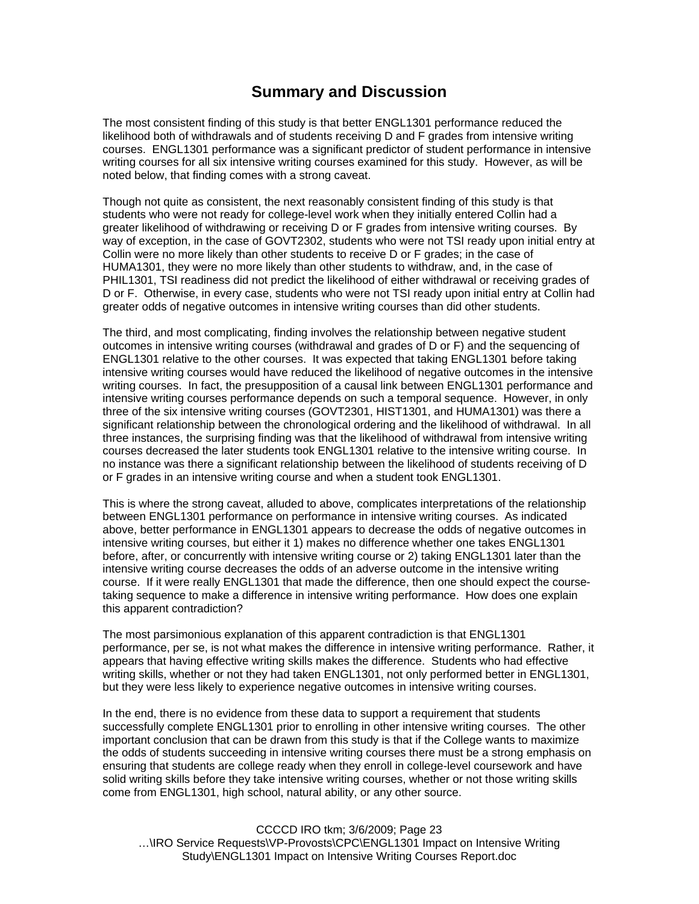# **Summary and Discussion**

The most consistent finding of this study is that better ENGL1301 performance reduced the likelihood both of withdrawals and of students receiving D and F grades from intensive writing courses. ENGL1301 performance was a significant predictor of student performance in intensive writing courses for all six intensive writing courses examined for this study. However, as will be noted below, that finding comes with a strong caveat.

Though not quite as consistent, the next reasonably consistent finding of this study is that students who were not ready for college-level work when they initially entered Collin had a greater likelihood of withdrawing or receiving D or F grades from intensive writing courses. By way of exception, in the case of GOVT2302, students who were not TSI ready upon initial entry at Collin were no more likely than other students to receive D or F grades; in the case of HUMA1301, they were no more likely than other students to withdraw, and, in the case of PHIL1301, TSI readiness did not predict the likelihood of either withdrawal or receiving grades of D or F. Otherwise, in every case, students who were not TSI ready upon initial entry at Collin had greater odds of negative outcomes in intensive writing courses than did other students.

The third, and most complicating, finding involves the relationship between negative student outcomes in intensive writing courses (withdrawal and grades of D or F) and the sequencing of ENGL1301 relative to the other courses. It was expected that taking ENGL1301 before taking intensive writing courses would have reduced the likelihood of negative outcomes in the intensive writing courses. In fact, the presupposition of a causal link between ENGL1301 performance and intensive writing courses performance depends on such a temporal sequence. However, in only three of the six intensive writing courses (GOVT2301, HIST1301, and HUMA1301) was there a significant relationship between the chronological ordering and the likelihood of withdrawal. In all three instances, the surprising finding was that the likelihood of withdrawal from intensive writing courses decreased the later students took ENGL1301 relative to the intensive writing course. In no instance was there a significant relationship between the likelihood of students receiving of D or F grades in an intensive writing course and when a student took ENGL1301.

This is where the strong caveat, alluded to above, complicates interpretations of the relationship between ENGL1301 performance on performance in intensive writing courses. As indicated above, better performance in ENGL1301 appears to decrease the odds of negative outcomes in intensive writing courses, but either it 1) makes no difference whether one takes ENGL1301 before, after, or concurrently with intensive writing course or 2) taking ENGL1301 later than the intensive writing course decreases the odds of an adverse outcome in the intensive writing course. If it were really ENGL1301 that made the difference, then one should expect the coursetaking sequence to make a difference in intensive writing performance. How does one explain this apparent contradiction?

The most parsimonious explanation of this apparent contradiction is that ENGL1301 performance, per se, is not what makes the difference in intensive writing performance. Rather, it appears that having effective writing skills makes the difference. Students who had effective writing skills, whether or not they had taken ENGL1301, not only performed better in ENGL1301, but they were less likely to experience negative outcomes in intensive writing courses.

In the end, there is no evidence from these data to support a requirement that students successfully complete ENGL1301 prior to enrolling in other intensive writing courses. The other important conclusion that can be drawn from this study is that if the College wants to maximize the odds of students succeeding in intensive writing courses there must be a strong emphasis on ensuring that students are college ready when they enroll in college-level coursework and have solid writing skills before they take intensive writing courses, whether or not those writing skills come from ENGL1301, high school, natural ability, or any other source.

CCCCD IRO tkm; 3/6/2009; Page 23 …\IRO Service Requests\VP-Provosts\CPC\ENGL1301 Impact on Intensive Writing Study\ENGL1301 Impact on Intensive Writing Courses Report.doc